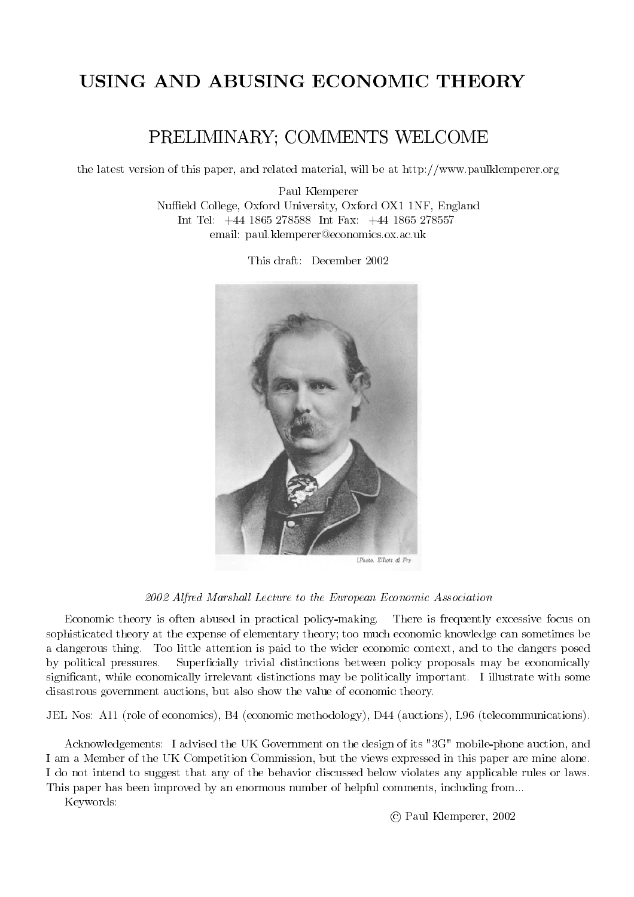# USING AND ABUSING ECONOMIC THEORY

## PRELIMINARY; COMMENTS WELCOME

the latest version of this paper, and related material, will be at http://www.paulklemperer.org

Paul Klemperer Nuffield College, Oxford University, Oxford OX1 1NF, England Int Tel: +44 1865 278588 Int Fax: +44 1865 278557 email: paul.klemperer@economics.ox.ac.uk

This draft: December 2002



[Photo, Elliott & Fry

2002 Alfred Marshall Lecture to the European Economic Association

Economic theory is often abused in practical policy-making. There is frequently excessive focus on sophisticated theory at the expense of elementary theory; too much economic knowledge can sometimes be a dangerous thing. Too little attention is paid to the wider economic context, and to the dangers posed by political pressures. Superficially trivial distinctions between policy proposals may be economically significant, while economically irrelevant distinctions may be politically important. I illustrate with some disastrous government auctions, but also show the value of economic theory.

JEL Nos: A11 (role of economics), B4 (economic methodology), D44 (auctions), L96 (telecommunications).

Acknowledgements: I advised the UK Government on the design of its "3G" mobile-phone auction, and I am a Member of the UK Competition Commission, but the views expressed in this paper are mine alone. I do not intend to suggest that any of the behavior discussed below violates any applicable rules or laws. This paper has been improved by an enormous number of helpful comments, including from...

Keywords:

c Paul Klemperer, 2002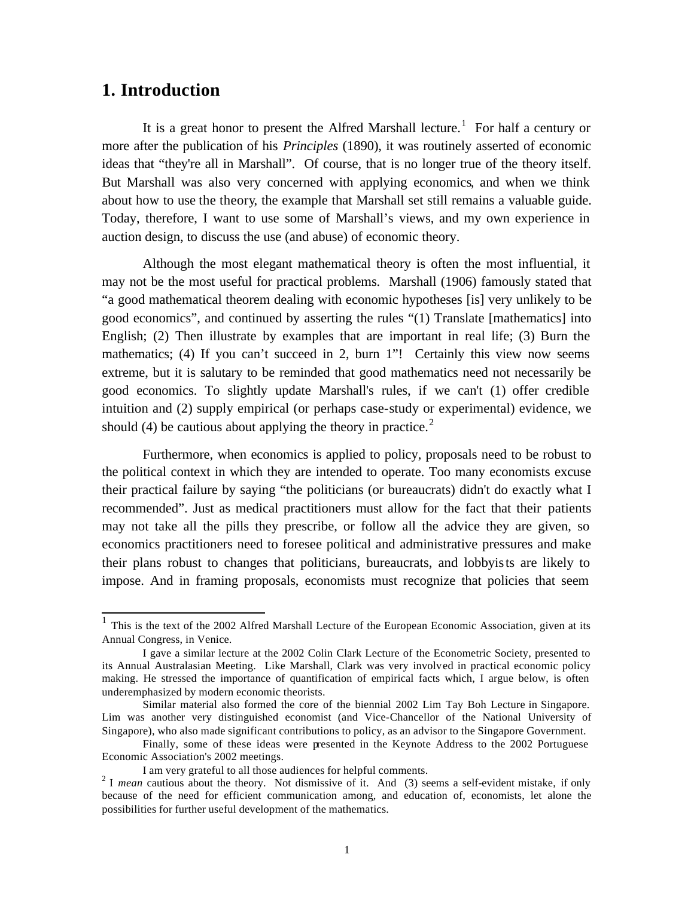## **1. Introduction**

It is a great honor to present the Alfred Marshall lecture.<sup>1</sup> For half a century or more after the publication of his *Principles* (1890), it was routinely asserted of economic ideas that "they're all in Marshall". Of course, that is no longer true of the theory itself. But Marshall was also very concerned with applying economics, and when we think about how to use the theory, the example that Marshall set still remains a valuable guide. Today, therefore, I want to use some of Marshall's views, and my own experience in auction design, to discuss the use (and abuse) of economic theory.

Although the most elegant mathematical theory is often the most influential, it may not be the most useful for practical problems. Marshall (1906) famously stated that "a good mathematical theorem dealing with economic hypotheses [is] very unlikely to be good economics", and continued by asserting the rules "(1) Translate [mathematics] into English; (2) Then illustrate by examples that are important in real life; (3) Burn the mathematics; (4) If you can't succeed in 2, burn 1"! Certainly this view now seems extreme, but it is salutary to be reminded that good mathematics need not necessarily be good economics. To slightly update Marshall's rules, if we can't (1) offer credible intuition and (2) supply empirical (or perhaps case-study or experimental) evidence, we should (4) be cautious about applying the theory in practice.<sup>2</sup>

Furthermore, when economics is applied to policy, proposals need to be robust to the political context in which they are intended to operate. Too many economists excuse their practical failure by saying "the politicians (or bureaucrats) didn't do exactly what I recommended". Just as medical practitioners must allow for the fact that their patients may not take all the pills they prescribe, or follow all the advice they are given, so economics practitioners need to foresee political and administrative pressures and make their plans robust to changes that politicians, bureaucrats, and lobbyists are likely to impose. And in framing proposals, economists must recognize that policies that seem

<sup>&</sup>lt;sup>1</sup> This is the text of the 2002 Alfred Marshall Lecture of the European Economic Association, given at its Annual Congress, in Venice.

I gave a similar lecture at the 2002 Colin Clark Lecture of the Econometric Society, presented to its Annual Australasian Meeting. Like Marshall, Clark was very involved in practical economic policy making. He stressed the importance of quantification of empirical facts which, I argue below, is often underemphasized by modern economic theorists.

Similar material also formed the core of the biennial 2002 Lim Tay Boh Lecture in Singapore. Lim was another very distinguished economist (and Vice-Chancellor of the National University of Singapore), who also made significant contributions to policy, as an advisor to the Singapore Government.

Finally, some of these ideas were presented in the Keynote Address to the 2002 Portuguese Economic Association's 2002 meetings.

I am very grateful to all those audiences for helpful comments.

<sup>&</sup>lt;sup>2</sup> I *mean* cautious about the theory. Not dismissive of it. And (3) seems a self-evident mistake, if only because of the need for efficient communication among, and education of, economists, let alone the possibilities for further useful development of the mathematics.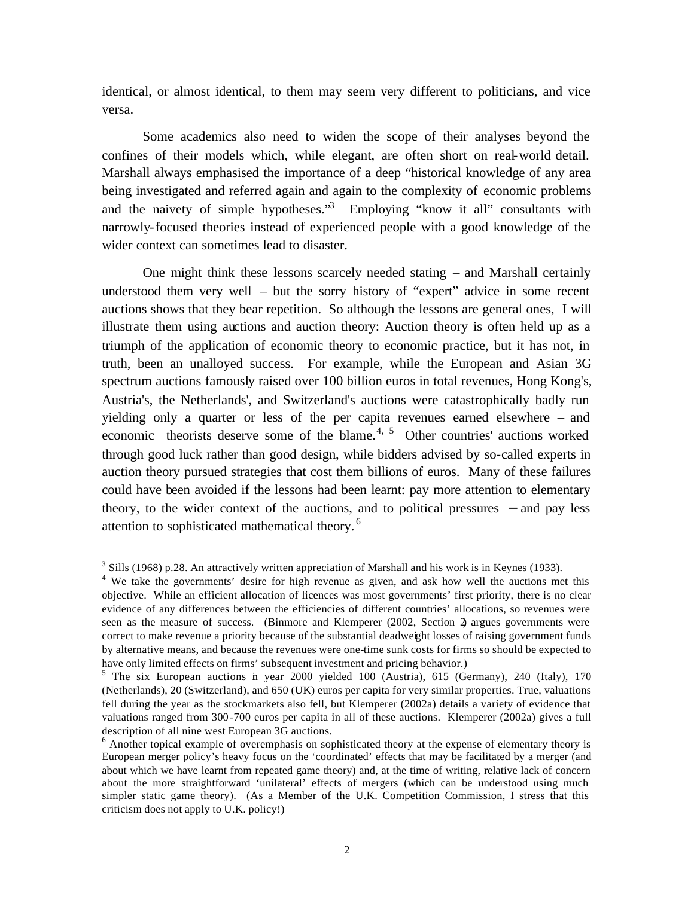identical, or almost identical, to them may seem very different to politicians, and vice versa.

Some academics also need to widen the scope of their analyses beyond the confines of their models which, while elegant, are often short on real-world detail. Marshall always emphasised the importance of a deep "historical knowledge of any area being investigated and referred again and again to the complexity of economic problems and the naivety of simple hypotheses."<sup>3</sup> Employing "know it all" consultants with narrowly-focused theories instead of experienced people with a good knowledge of the wider context can sometimes lead to disaster.

One might think these lessons scarcely needed stating – and Marshall certainly understood them very well – but the sorry history of "expert" advice in some recent auctions shows that they bear repetition. So although the lessons are general ones, I will illustrate them using auctions and auction theory: Auction theory is often held up as a triumph of the application of economic theory to economic practice, but it has not, in truth, been an unalloyed success. For example, while the European and Asian 3G spectrum auctions famously raised over 100 billion euros in total revenues, Hong Kong's, Austria's, the Netherlands', and Switzerland's auctions were catastrophically badly run yielding only a quarter or less of the per capita revenues earned elsewhere – and economic theorists deserve some of the blame.<sup>4, 5</sup> Other countries' auctions worked through good luck rather than good design, while bidders advised by so-called experts in auction theory pursued strategies that cost them billions of euros. Many of these failures could have been avoided if the lessons had been learnt: pay more attention to elementary theory, to the wider context of the auctions, and to political pressures − and pay less attention to sophisticated mathematical theory. <sup>6</sup>

 $3$  Sills (1968) p.28. An attractively written appreciation of Marshall and his work is in Keynes (1933).

<sup>&</sup>lt;sup>4</sup> We take the governments' desire for high revenue as given, and ask how well the auctions met this objective. While an efficient allocation of licences was most governments' first priority, there is no clear evidence of any differences between the efficiencies of different countries' allocations, so revenues were seen as the measure of success. (Binmore and Klemperer (2002, Section 2) argues governments were correct to make revenue a priority because of the substantial deadweight losses of raising government funds by alternative means, and because the revenues were one-time sunk costs for firms so should be expected to have only limited effects on firms' subsequent investment and pricing behavior.)

<sup>&</sup>lt;sup>5</sup> The six European auctions in year 2000 yielded 100 (Austria), 615 (Germany), 240 (Italy), 170 (Netherlands), 20 (Switzerland), and 650 (UK) euros per capita for very similar properties. True, valuations fell during the year as the stockmarkets also fell, but Klemperer (2002a) details a variety of evidence that valuations ranged from 300-700 euros per capita in all of these auctions. Klemperer (2002a) gives a full description of all nine west European 3G auctions.

<sup>&</sup>lt;sup>6</sup> Another topical example of overemphasis on sophisticated theory at the expense of elementary theory is European merger policy's heavy focus on the 'coordinated' effects that may be facilitated by a merger (and about which we have learnt from repeated game theory) and, at the time of writing, relative lack of concern about the more straightforward 'unilateral' effects of mergers (which can be understood using much simpler static game theory). (As a Member of the U.K. Competition Commission, I stress that this criticism does not apply to U.K. policy!)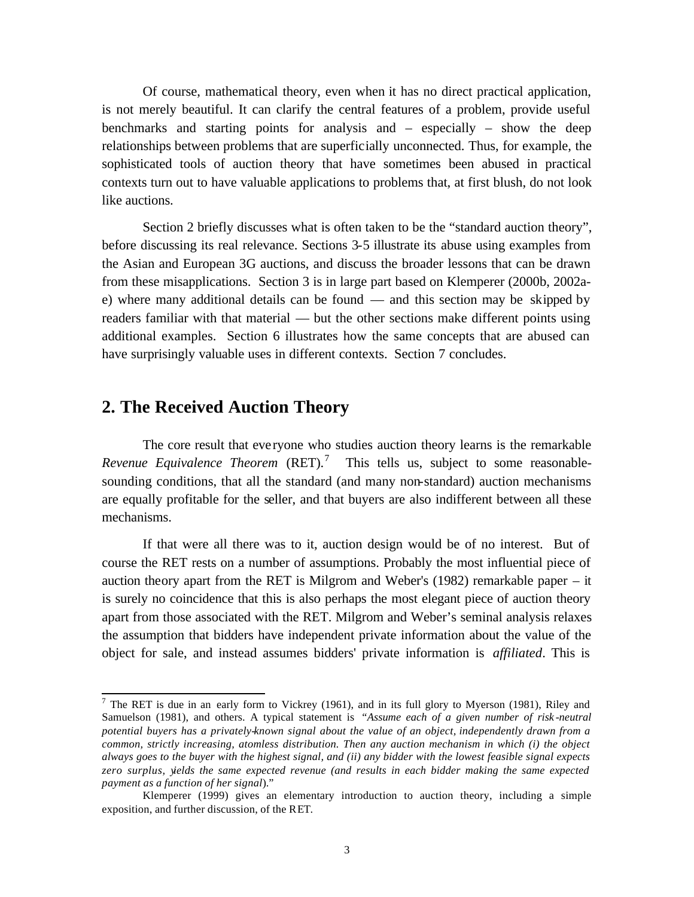Of course, mathematical theory, even when it has no direct practical application, is not merely beautiful. It can clarify the central features of a problem, provide useful benchmarks and starting points for analysis and – especially – show the deep relationships between problems that are superficially unconnected. Thus, for example, the sophisticated tools of auction theory that have sometimes been abused in practical contexts turn out to have valuable applications to problems that, at first blush, do not look like auctions.

 Section 2 briefly discusses what is often taken to be the "standard auction theory", before discussing its real relevance. Sections 3-5 illustrate its abuse using examples from the Asian and European 3G auctions, and discuss the broader lessons that can be drawn from these misapplications. Section 3 is in large part based on Klemperer (2000b, 2002ae) where many additional details can be found — and this section may be skipped by readers familiar with that material — but the other sections make different points using additional examples. Section 6 illustrates how the same concepts that are abused can have surprisingly valuable uses in different contexts. Section 7 concludes.

### **2. The Received Auction Theory**

l

The core result that eve ryone who studies auction theory learns is the remarkable *Revenue Equivalence Theorem*  $(RET)$ .<sup>7</sup> This tells us, subject to some reasonablesounding conditions, that all the standard (and many non-standard) auction mechanisms are equally profitable for the seller, and that buyers are also indifferent between all these mechanisms.

If that were all there was to it, auction design would be of no interest. But of course the RET rests on a number of assumptions. Probably the most influential piece of auction theory apart from the RET is Milgrom and Weber's (1982) remarkable paper – it is surely no coincidence that this is also perhaps the most elegant piece of auction theory apart from those associated with the RET. Milgrom and Weber's seminal analysis relaxes the assumption that bidders have independent private information about the value of the object for sale, and instead assumes bidders' private information is *affiliated*. This is

<sup>&</sup>lt;sup>7</sup> The RET is due in an early form to Vickrey (1961), and in its full glory to Myerson (1981), Riley and Samuelson (1981), and others. A typical statement is *"Assume each of a given number of risk -neutral potential buyers has a privately-known signal about the value of an object, independently drawn from a common, strictly increasing, atomless distribution. Then any auction mechanism in which (i) the object always goes to the buyer with the highest signal, and (ii) any bidder with the lowest feasible signal expects zero surplus, yields the same expected revenue (and results in each bidder making the same expected payment as a function of her signal*)."

Klemperer (1999) gives an elementary introduction to auction theory, including a simple exposition, and further discussion, of the RET.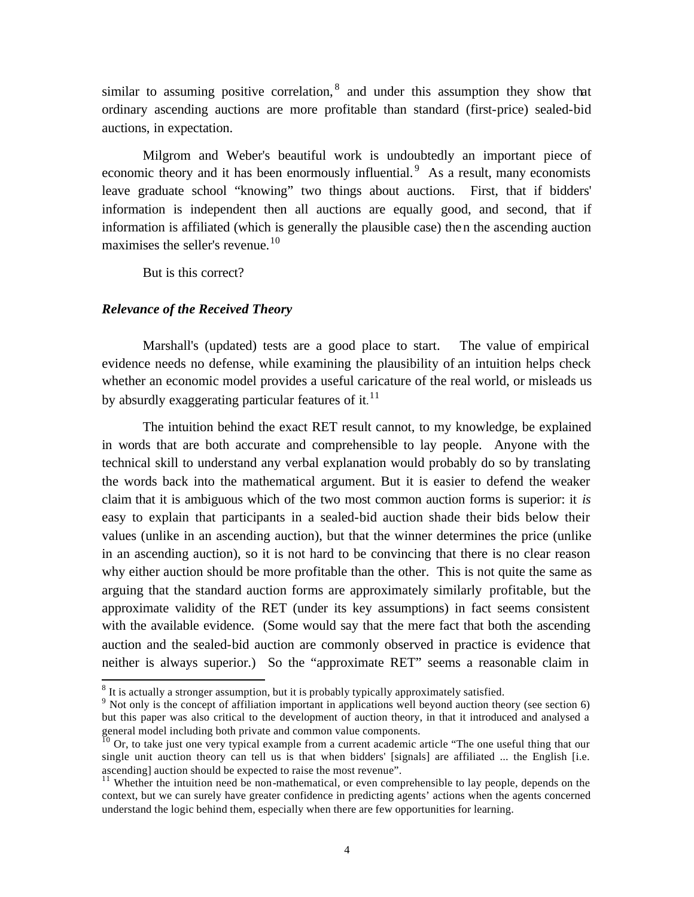similar to assuming positive correlation,  $8$  and under this assumption they show that ordinary ascending auctions are more profitable than standard (first-price) sealed-bid auctions, in expectation.

Milgrom and Weber's beautiful work is undoubtedly an important piece of economic theory and it has been enormously influential.  $9$  As a result, many economists leave graduate school "knowing" two things about auctions. First, that if bidders' information is independent then all auctions are equally good, and second, that if information is affiliated (which is generally the plausible case) then the ascending auction maximises the seller's revenue.<sup>10</sup>

But is this correct?

#### *Relevance of the Received Theory*

Marshall's (updated) tests are a good place to start. The value of empirical evidence needs no defense, while examining the plausibility of an intuition helps check whether an economic model provides a useful caricature of the real world, or misleads us by absurdly exaggerating particular features of it.<sup>11</sup>

The intuition behind the exact RET result cannot, to my knowledge, be explained in words that are both accurate and comprehensible to lay people. Anyone with the technical skill to understand any verbal explanation would probably do so by translating the words back into the mathematical argument. But it is easier to defend the weaker claim that it is ambiguous which of the two most common auction forms is superior: it *is* easy to explain that participants in a sealed-bid auction shade their bids below their values (unlike in an ascending auction), but that the winner determines the price (unlike in an ascending auction), so it is not hard to be convincing that there is no clear reason why either auction should be more profitable than the other. This is not quite the same as arguing that the standard auction forms are approximately similarly profitable, but the approximate validity of the RET (under its key assumptions) in fact seems consistent with the available evidence. (Some would say that the mere fact that both the ascending auction and the sealed-bid auction are commonly observed in practice is evidence that neither is always superior.) So the "approximate RET" seems a reasonable claim in

<sup>&</sup>lt;sup>8</sup> It is actually a stronger assumption, but it is probably typically approximately satisfied.

<sup>&</sup>lt;sup>9</sup> Not only is the concept of affiliation important in applications well beyond auction theory (see section 6) but this paper was also critical to the development of auction theory, in that it introduced and analysed a general model including both private and common value components.

 $10$  Or, to take just one very typical example from a current academic article "The one useful thing that our single unit auction theory can tell us is that when bidders' [signals] are affiliated ... the English [i.e. ascending] auction should be expected to raise the most revenue".

<sup>&</sup>lt;sup>11</sup> Whether the intuition need be non-mathematical, or even comprehensible to lay people, depends on the context, but we can surely have greater confidence in predicting agents' actions when the agents concerned understand the logic behind them, especially when there are few opportunities for learning.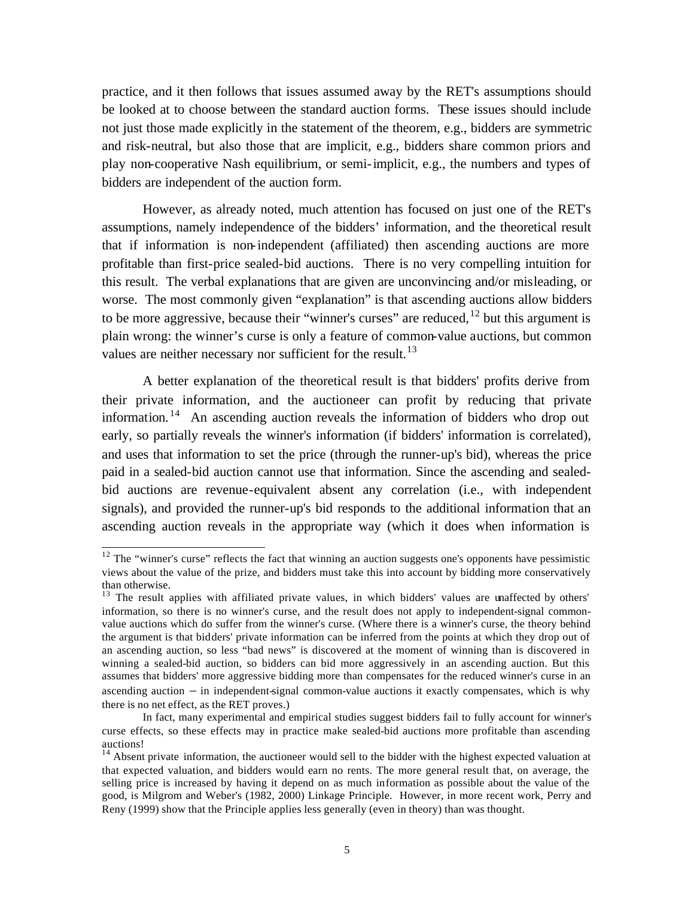practice, and it then follows that issues assumed away by the RET's assumptions should be looked at to choose between the standard auction forms. These issues should include not just those made explicitly in the statement of the theorem, e.g., bidders are symmetric and risk-neutral, but also those that are implicit, e.g., bidders share common priors and play non-cooperative Nash equilibrium, or semi-implicit, e.g., the numbers and types of bidders are independent of the auction form.

However, as already noted, much attention has focused on just one of the RET's assumptions, namely independence of the bidders' information, and the theoretical result that if information is non-independent (affiliated) then ascending auctions are more profitable than first-price sealed-bid auctions. There is no very compelling intuition for this result. The verbal explanations that are given are unconvincing and/or misleading, or worse. The most commonly given "explanation" is that ascending auctions allow bidders to be more aggressive, because their "winner's curses" are reduced,  $12$  but this argument is plain wrong: the winner's curse is only a feature of common-value auctions, but common values are neither necessary nor sufficient for the result. $^{13}$ 

A better explanation of the theoretical result is that bidders' profits derive from their private information, and the auctioneer can profit by reducing that private information.<sup>14</sup> An ascending auction reveals the information of bidders who drop out early, so partially reveals the winner's information (if bidders' information is correlated), and uses that information to set the price (through the runner-up's bid), whereas the price paid in a sealed-bid auction cannot use that information. Since the ascending and sealedbid auctions are revenue-equivalent absent any correlation (i.e., with independent signals), and provided the runner-up's bid responds to the additional information that an ascending auction reveals in the appropriate way (which it does when information is

 $12$  The "winner's curse" reflects the fact that winning an auction suggests one's opponents have pessimistic views about the value of the prize, and bidders must take this into account by bidding more conservatively than otherwise.

 $13$  The result applies with affiliated private values, in which bidders' values are unaffected by others' information, so there is no winner's curse, and the result does not apply to independent-signal commonvalue auctions which do suffer from the winner's curse. (Where there is a winner's curse, the theory behind the argument is that bidders' private information can be inferred from the points at which they drop out of an ascending auction, so less "bad news" is discovered at the moment of winning than is discovered in winning a sealed-bid auction, so bidders can bid more aggressively in an ascending auction. But this assumes that bidders' more aggressive bidding more than compensates for the reduced winner's curse in an ascending auction  $-$  in independent-signal common-value auctions it exactly compensates, which is why there is no net effect, as the RET proves.)

In fact, many experimental and empirical studies suggest bidders fail to fully account for winner's curse effects, so these effects may in practice make sealed-bid auctions more profitable than ascending auctions!

<sup>&</sup>lt;sup>14</sup> Absent private information, the auctioneer would sell to the bidder with the highest expected valuation at that expected valuation, and bidders would earn no rents. The more general result that, on average, the selling price is increased by having it depend on as much information as possible about the value of the good, is Milgrom and Weber's (1982, 2000) Linkage Principle. However, in more recent work, Perry and Reny (1999) show that the Principle applies less generally (even in theory) than was thought.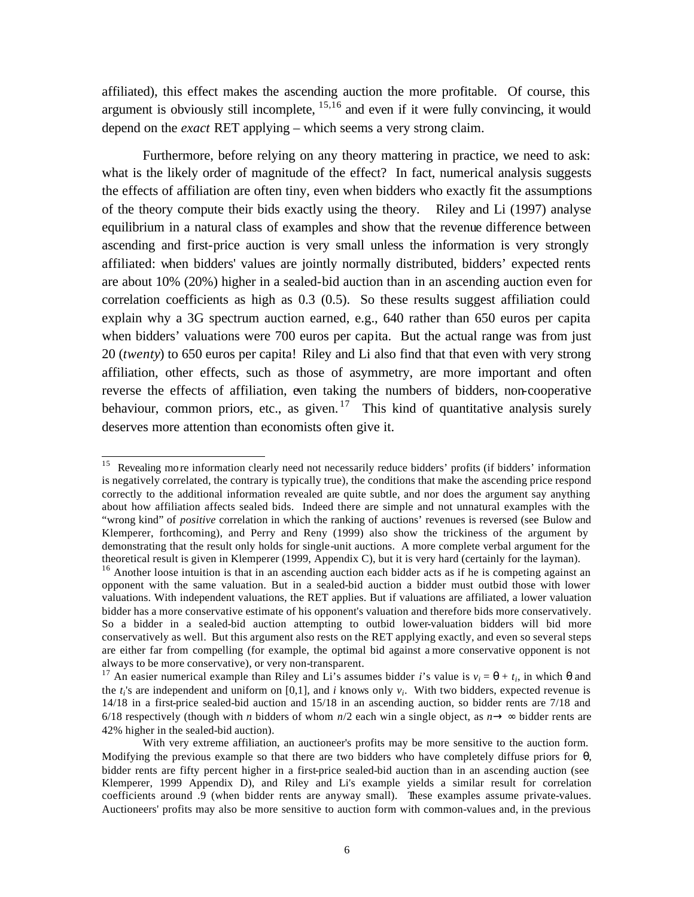affiliated), this effect makes the ascending auction the more profitable. Of course, this argument is obviously still incomplete,  $15,16$  and even if it were fully convincing, it would depend on the *exact* RET applying – which seems a very strong claim.

Furthermore, before relying on any theory mattering in practice, we need to ask: what is the likely order of magnitude of the effect? In fact, numerical analysis suggests the effects of affiliation are often tiny, even when bidders who exactly fit the assumptions of the theory compute their bids exactly using the theory. Riley and Li (1997) analyse equilibrium in a natural class of examples and show that the revenue difference between ascending and first-price auction is very small unless the information is very strongly affiliated: when bidders' values are jointly normally distributed, bidders' expected rents are about 10% (20%) higher in a sealed-bid auction than in an ascending auction even for correlation coefficients as high as 0.3 (0.5). So these results suggest affiliation could explain why a 3G spectrum auction earned, e.g., 640 rather than 650 euros per capita when bidders' valuations were 700 euros per capita. But the actual range was from just 20 (*twenty*) to 650 euros per capita! Riley and Li also find that that even with very strong affiliation, other effects, such as those of asymmetry, are more important and often reverse the effects of affiliation, even taking the numbers of bidders, non-cooperative behaviour, common priors, etc., as given.<sup>17</sup> This kind of quantitative analysis surely deserves more attention than economists often give it.

<sup>&</sup>lt;sup>15</sup> Revealing mo re information clearly need not necessarily reduce bidders' profits (if bidders' information is negatively correlated, the contrary is typically true), the conditions that make the ascending price respond correctly to the additional information revealed are quite subtle, and nor does the argument say anything about how affiliation affects sealed bids. Indeed there are simple and not unnatural examples with the "wrong kind" of *positive* correlation in which the ranking of auctions' revenues is reversed (see Bulow and Klemperer, forthcoming), and Perry and Reny (1999) also show the trickiness of the argument by demonstrating that the result only holds for single-unit auctions. A more complete verbal argument for the theoretical result is given in Klemperer (1999, Appendix C), but it is very hard (certainly for the layman).

<sup>&</sup>lt;sup>16</sup> Another loose intuition is that in an ascending auction each bidder acts as if he is competing against an opponent with the same valuation. But in a sealed-bid auction a bidder must outbid those with lower valuations. With independent valuations, the RET applies. But if valuations are affiliated, a lower valuation bidder has a more conservative estimate of his opponent's valuation and therefore bids more conservatively. So a bidder in a sealed-bid auction attempting to outbid lower-valuation bidders will bid more conservatively as well. But this argument also rests on the RET applying exactly, and even so several steps are either far from compelling (for example, the optimal bid against a more conservative opponent is not always to be more conservative), or very non-transparent.

<sup>&</sup>lt;sup>17</sup> An easier numerical example than Riley and Li's assumes bidder *i*'s value is  $v_i = \boldsymbol{q} + t_i$ , in which  $\boldsymbol{q}$  and the  $t_i$ 's are independent and uniform on [0,1], and *i* knows only  $v_i$ . With two bidders, expected revenue is 14/18 in a first-price sealed-bid auction and 15/18 in an ascending auction, so bidder rents are 7/18 and 6/18 respectively (though with *n* bidders of whom  $n/2$  each win a single object, as  $n \rightarrow \infty$  bidder rents are 42% higher in the sealed-bid auction).

With very extreme affiliation, an auctioneer's profits may be more sensitive to the auction form. Modifying the previous example so that there are two bidders who have completely diffuse priors for *q*, bidder rents are fifty percent higher in a first-price sealed-bid auction than in an ascending auction (see Klemperer, 1999 Appendix D), and Riley and Li's example yields a similar result for correlation coefficients around .9 (when bidder rents are anyway small). These examples assume private-values. Auctioneers' profits may also be more sensitive to auction form with common-values and, in the previous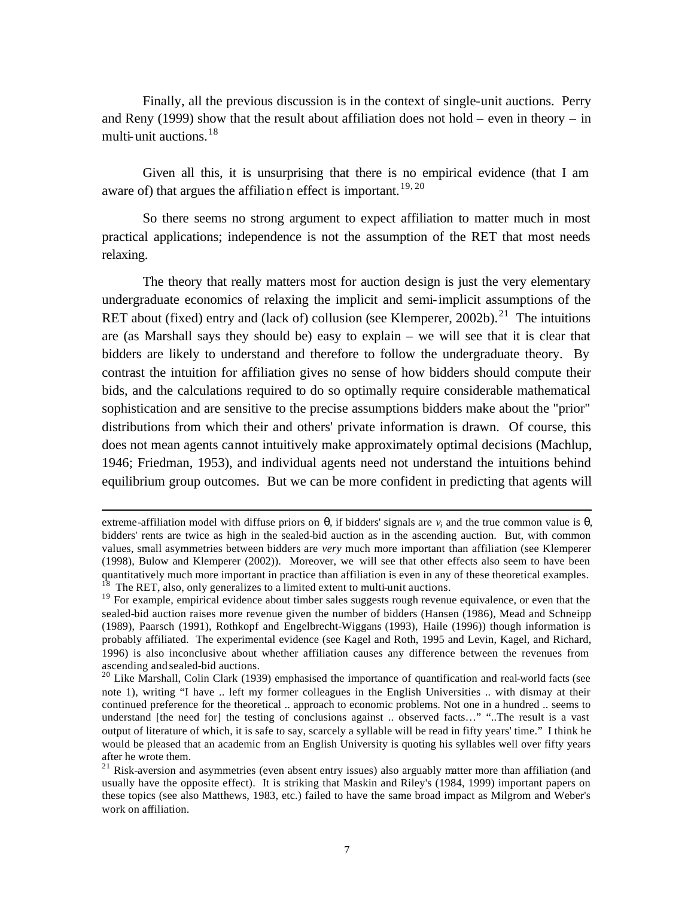Finally, all the previous discussion is in the context of single-unit auctions. Perry and Reny (1999) show that the result about affiliation does not hold – even in theory – in multi-unit auctions.  $18$ 

Given all this, it is unsurprising that there is no empirical evidence (that I am aware of) that argues the affiliation effect is important.<sup>19, 20</sup>

So there seems no strong argument to expect affiliation to matter much in most practical applications; independence is not the assumption of the RET that most needs relaxing.

The theory that really matters most for auction design is just the very elementary undergraduate economics of relaxing the implicit and semi-implicit assumptions of the RET about (fixed) entry and (lack of) collusion (see Klemperer, 2002b).<sup>21</sup> The intuitions are (as Marshall says they should be) easy to explain – we will see that it is clear that bidders are likely to understand and therefore to follow the undergraduate theory. By contrast the intuition for affiliation gives no sense of how bidders should compute their bids, and the calculations required to do so optimally require considerable mathematical sophistication and are sensitive to the precise assumptions bidders make about the "prior" distributions from which their and others' private information is drawn. Of course, this does not mean agents cannot intuitively make approximately optimal decisions (Machlup, 1946; Friedman, 1953), and individual agents need not understand the intuitions behind equilibrium group outcomes. But we can be more confident in predicting that agents will

extreme-affiliation model with diffuse priors on  $q$ , if bidders' signals are  $v_i$  and the true common value is  $q$ , bidders' rents are twice as high in the sealed-bid auction as in the ascending auction. But, with common values, small asymmetries between bidders are *very* much more important than affiliation (see Klemperer (1998), Bulow and Klemperer (2002)). Moreover, we will see that other effects also seem to have been quantitatively much more important in practice than affiliation is even in any of these theoretical examples. The RET, also, only generalizes to a limited extent to multi-unit auctions.

<sup>&</sup>lt;sup>19</sup> For example, empirical evidence about timber sales suggests rough revenue equivalence, or even that the sealed-bid auction raises more revenue given the number of bidders (Hansen (1986), Mead and Schneipp (1989), Paarsch (1991), Rothkopf and Engelbrecht-Wiggans (1993), Haile (1996)) though information is probably affiliated. The experimental evidence (see Kagel and Roth, 1995 and Levin, Kagel, and Richard, 1996) is also inconclusive about whether affiliation causes any difference between the revenues from ascending and sealed-bid auctions.

 $20$  Like Marshall, Colin Clark (1939) emphasised the importance of quantification and real-world facts (see note 1), writing "I have .. left my former colleagues in the English Universities .. with dismay at their continued preference for the theoretical .. approach to economic problems. Not one in a hundred .. seems to understand [the need for] the testing of conclusions against . observed facts..." "..The result is a vast output of literature of which, it is safe to say, scarcely a syllable will be read in fifty years' time." I think he would be pleased that an academic from an English University is quoting his syllables well over fifty years after he wrote them.

 $21$  Risk-aversion and asymmetries (even absent entry issues) also arguably matter more than affiliation (and usually have the opposite effect). It is striking that Maskin and Riley's (1984, 1999) important papers on these topics (see also Matthews, 1983, etc.) failed to have the same broad impact as Milgrom and Weber's work on affiliation.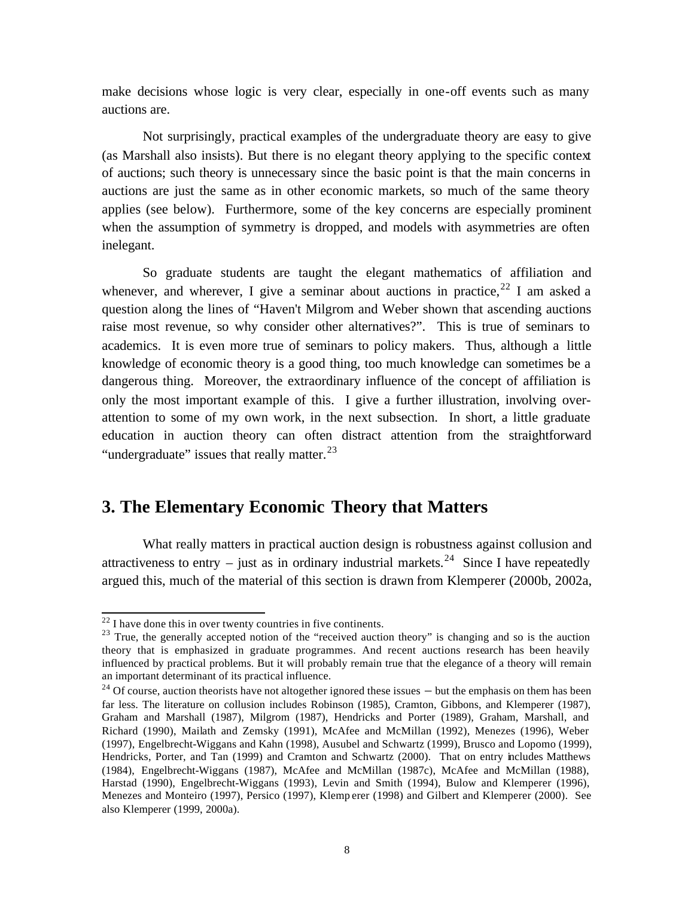make decisions whose logic is very clear, especially in one-off events such as many auctions are.

Not surprisingly, practical examples of the undergraduate theory are easy to give (as Marshall also insists). But there is no elegant theory applying to the specific context of auctions; such theory is unnecessary since the basic point is that the main concerns in auctions are just the same as in other economic markets, so much of the same theory applies (see below). Furthermore, some of the key concerns are especially prominent when the assumption of symmetry is dropped, and models with asymmetries are often inelegant.

So graduate students are taught the elegant mathematics of affiliation and whenever, and wherever, I give a seminar about auctions in practice,  $22 \text{ I}$  am asked a question along the lines of "Haven't Milgrom and Weber shown that ascending auctions raise most revenue, so why consider other alternatives?". This is true of seminars to academics. It is even more true of seminars to policy makers. Thus, although a little knowledge of economic theory is a good thing, too much knowledge can sometimes be a dangerous thing. Moreover, the extraordinary influence of the concept of affiliation is only the most important example of this. I give a further illustration, involving overattention to some of my own work, in the next subsection. In short, a little graduate education in auction theory can often distract attention from the straightforward "undergraduate" issues that really matter. $23$ 

## **3. The Elementary Economic Theory that Matters**

What really matters in practical auction design is robustness against collusion and attractiveness to entry – just as in ordinary industrial markets.<sup>24</sup> Since I have repeatedly argued this, much of the material of this section is drawn from Klemperer (2000b, 2002a,

 $2<sup>22</sup>$  I have done this in over twenty countries in five continents.

<sup>&</sup>lt;sup>23</sup> True, the generally accepted notion of the "received auction theory" is changing and so is the auction theory that is emphasized in graduate programmes. And recent auctions research has been heavily influenced by practical problems. But it will probably remain true that the elegance of a theory will remain an important determinant of its practical influence.

 $24$  Of course, auction theorists have not altogether ignored these issues – but the emphasis on them has been far less. The literature on collusion includes Robinson (1985), Cramton, Gibbons, and Klemperer (1987), Graham and Marshall (1987), Milgrom (1987), Hendricks and Porter (1989), Graham, Marshall, and Richard (1990), Mailath and Zemsky (1991), McAfee and McMillan (1992), Menezes (1996), Weber (1997), Engelbrecht-Wiggans and Kahn (1998), Ausubel and Schwartz (1999), Brusco and Lopomo (1999), Hendricks, Porter, and Tan (1999) and Cramton and Schwartz (2000). That on entry includes Matthews (1984), Engelbrecht-Wiggans (1987), McAfee and McMillan (1987c), McAfee and McMillan (1988), Harstad (1990), Engelbrecht-Wiggans (1993), Levin and Smith (1994), Bulow and Klemperer (1996), Menezes and Monteiro (1997), Persico (1997), Klemp erer (1998) and Gilbert and Klemperer (2000). See also Klemperer (1999, 2000a).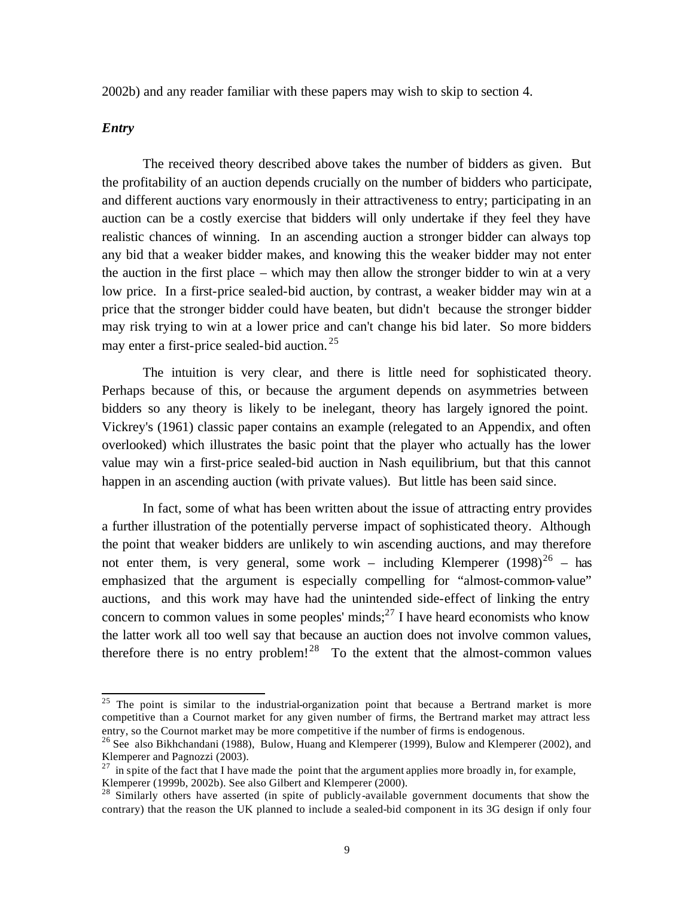2002b) and any reader familiar with these papers may wish to skip to section 4.

#### *Entry*

l

The received theory described above takes the number of bidders as given. But the profitability of an auction depends crucially on the number of bidders who participate, and different auctions vary enormously in their attractiveness to entry; participating in an auction can be a costly exercise that bidders will only undertake if they feel they have realistic chances of winning. In an ascending auction a stronger bidder can always top any bid that a weaker bidder makes, and knowing this the weaker bidder may not enter the auction in the first place – which may then allow the stronger bidder to win at a very low price. In a first-price sealed-bid auction, by contrast, a weaker bidder may win at a price that the stronger bidder could have beaten, but didn't because the stronger bidder may risk trying to win at a lower price and can't change his bid later. So more bidders may enter a first-price sealed-bid auction. <sup>25</sup>

The intuition is very clear, and there is little need for sophisticated theory. Perhaps because of this, or because the argument depends on asymmetries between bidders so any theory is likely to be inelegant, theory has largely ignored the point. Vickrey's (1961) classic paper contains an example (relegated to an Appendix, and often overlooked) which illustrates the basic point that the player who actually has the lower value may win a first-price sealed-bid auction in Nash equilibrium, but that this cannot happen in an ascending auction (with private values). But little has been said since.

In fact, some of what has been written about the issue of attracting entry provides a further illustration of the potentially perverse impact of sophisticated theory. Although the point that weaker bidders are unlikely to win ascending auctions, and may therefore not enter them, is very general, some work – including Klemperer  $(1998)^{26}$  – has emphasized that the argument is especially compelling for "almost-common-value" auctions, and this work may have had the unintended side-effect of linking the entry concern to common values in some peoples' minds; $^{27}$  I have heard economists who know the latter work all too well say that because an auction does not involve common values, therefore there is no entry problem!<sup>28</sup> To the extent that the almost-common values

 $25$  The point is similar to the industrial-organization point that because a Bertrand market is more competitive than a Cournot market for any given number of firms, the Bertrand market may attract less entry, so the Cournot market may be more competitive if the number of firms is endogenous.

<sup>&</sup>lt;sup>26</sup> See also Bikhchandani (1988), Bulow, Huang and Klemperer (1999), Bulow and Klemperer (2002), and Klemperer and Pagnozzi (2003).

 $^{27}$  in spite of the fact that I have made the point that the argument applies more broadly in, for example, Klemperer (1999b, 2002b). See also Gilbert and Klemperer (2000).

 $28$  Similarly others have asserted (in spite of publicly-available government documents that show the contrary) that the reason the UK planned to include a sealed-bid component in its 3G design if only four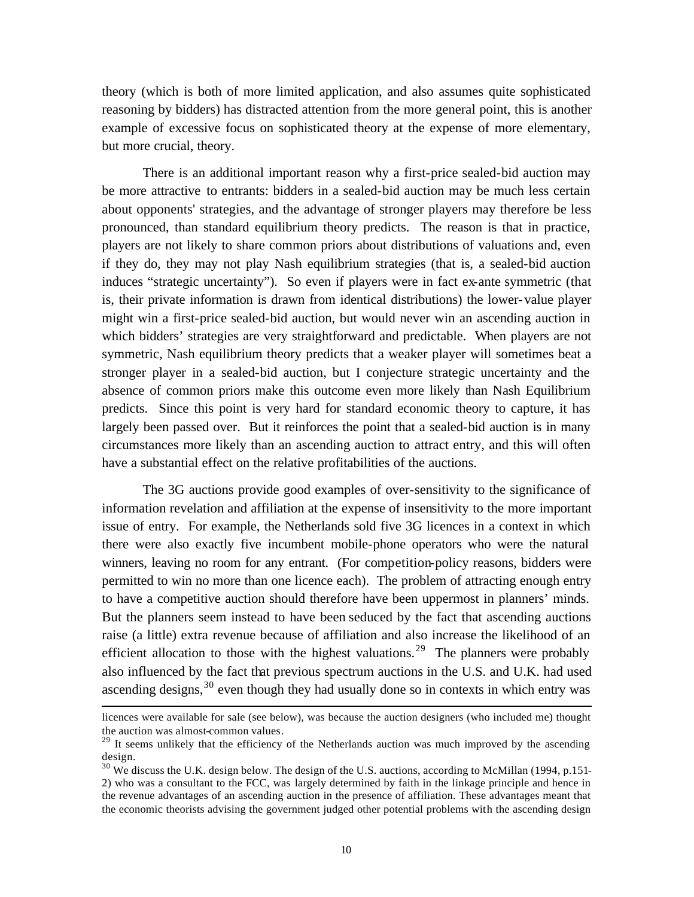theory (which is both of more limited application, and also assumes quite sophisticated reasoning by bidders) has distracted attention from the more general point, this is another example of excessive focus on sophisticated theory at the expense of more elementary, but more crucial, theory.

There is an additional important reason why a first-price sealed-bid auction may be more attractive to entrants: bidders in a sealed-bid auction may be much less certain about opponents' strategies, and the advantage of stronger players may therefore be less pronounced, than standard equilibrium theory predicts. The reason is that in practice, players are not likely to share common priors about distributions of valuations and, even if they do, they may not play Nash equilibrium strategies (that is, a sealed-bid auction induces "strategic uncertainty"). So even if players were in fact ex-ante symmetric (that is, their private information is drawn from identical distributions) the lower-value player might win a first-price sealed-bid auction, but would never win an ascending auction in which bidders' strategies are very straightforward and predictable. When players are not symmetric, Nash equilibrium theory predicts that a weaker player will sometimes beat a stronger player in a sealed-bid auction, but I conjecture strategic uncertainty and the absence of common priors make this outcome even more likely than Nash Equilibrium predicts. Since this point is very hard for standard economic theory to capture, it has largely been passed over. But it reinforces the point that a sealed-bid auction is in many circumstances more likely than an ascending auction to attract entry, and this will often have a substantial effect on the relative profitabilities of the auctions.

The 3G auctions provide good examples of over-sensitivity to the significance of information revelation and affiliation at the expense of insensitivity to the more important issue of entry. For example, the Netherlands sold five 3G licences in a context in which there were also exactly five incumbent mobile-phone operators who were the natural winners, leaving no room for any entrant. (For competition-policy reasons, bidders were permitted to win no more than one licence each). The problem of attracting enough entry to have a competitive auction should therefore have been uppermost in planners' minds. But the planners seem instead to have been seduced by the fact that ascending auctions raise (a little) extra revenue because of affiliation and also increase the likelihood of an efficient allocation to those with the highest valuations.<sup>29</sup> The planners were probably also influenced by the fact that previous spectrum auctions in the U.S. and U.K. had used ascending designs,  $30$  even though they had usually done so in contexts in which entry was

licences were available for sale (see below), was because the auction designers (who included me) thought the auction was almost-common values.

<sup>&</sup>lt;sup>29</sup> It seems unlikely that the efficiency of the Netherlands auction was much improved by the ascending design.

<sup>&</sup>lt;sup>30</sup> We discuss the U.K. design below. The design of the U.S. auctions, according to McMillan (1994, p.151-2) who was a consultant to the FCC, was largely determined by faith in the linkage principle and hence in the revenue advantages of an ascending auction in the presence of affiliation. These advantages meant that the economic theorists advising the government judged other potential problems with the ascending design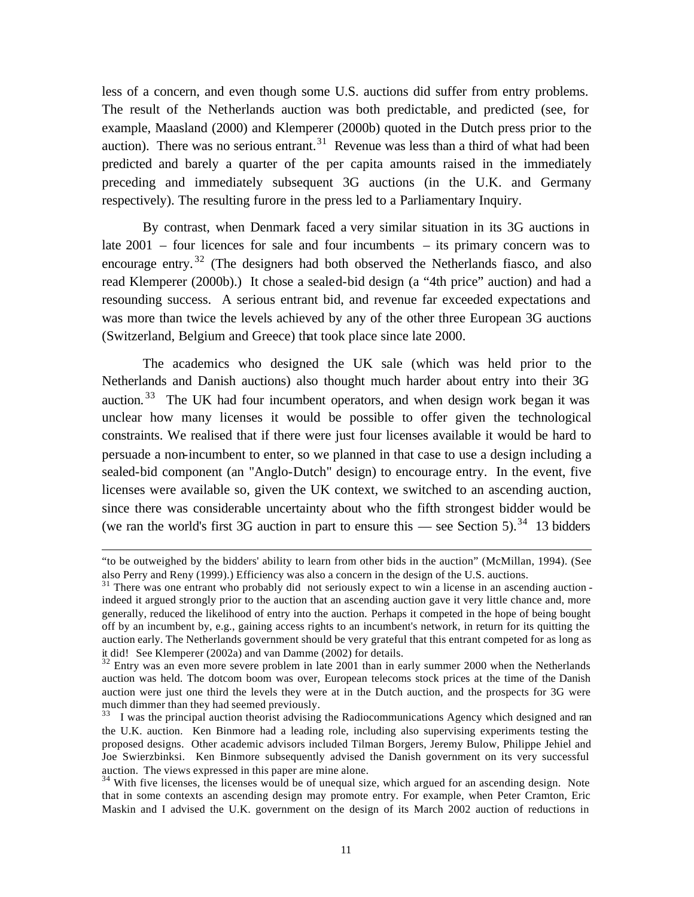less of a concern, and even though some U.S. auctions did suffer from entry problems. The result of the Netherlands auction was both predictable, and predicted (see, for example, Maasland (2000) and Klemperer (2000b) quoted in the Dutch press prior to the auction). There was no serious entrant.<sup>31</sup> Revenue was less than a third of what had been predicted and barely a quarter of the per capita amounts raised in the immediately preceding and immediately subsequent 3G auctions (in the U.K. and Germany respectively). The resulting furore in the press led to a Parliamentary Inquiry.

By contrast, when Denmark faced a very similar situation in its 3G auctions in late 2001 – four licences for sale and four incumbents – its primary concern was to encourage entry.<sup>32</sup> (The designers had both observed the Netherlands fiasco, and also read Klemperer (2000b).) It chose a sealed-bid design (a "4th price" auction) and had a resounding success. A serious entrant bid, and revenue far exceeded expectations and was more than twice the levels achieved by any of the other three European 3G auctions (Switzerland, Belgium and Greece) that took place since late 2000.

The academics who designed the UK sale (which was held prior to the Netherlands and Danish auctions) also thought much harder about entry into their 3G auction.<sup>33</sup> The UK had four incumbent operators, and when design work began it was unclear how many licenses it would be possible to offer given the technological constraints. We realised that if there were just four licenses available it would be hard to persuade a non-incumbent to enter, so we planned in that case to use a design including a sealed-bid component (an "Anglo-Dutch" design) to encourage entry. In the event, five licenses were available so, given the UK context, we switched to an ascending auction, since there was considerable uncertainty about who the fifth strongest bidder would be (we ran the world's first 3G auction in part to ensure this — see Section 5).<sup>34</sup> 13 bidders

<sup>&</sup>quot;to be outweighed by the bidders' ability to learn from other bids in the auction" (McMillan, 1994). (See also Perry and Reny (1999).) Efficiency was also a concern in the design of the U.S. auctions.

<sup>&</sup>lt;sup>31</sup> There was one entrant who probably did not seriously expect to win a license in an ascending auction indeed it argued strongly prior to the auction that an ascending auction gave it very little chance and, more generally, reduced the likelihood of entry into the auction. Perhaps it competed in the hope of being bought off by an incumbent by, e.g., gaining access rights to an incumbent's network, in return for its quitting the auction early. The Netherlands government should be very grateful that this entrant competed for as long as it did! See Klemperer (2002a) and van Damme (2002) for details.

 $32$  Entry was an even more severe problem in late 2001 than in early summer 2000 when the Netherlands auction was held. The dotcom boom was over, European telecoms stock prices at the time of the Danish auction were just one third the levels they were at in the Dutch auction, and the prospects for 3G were much dimmer than they had seemed previously.

<sup>&</sup>lt;sup>33</sup> I was the principal auction theorist advising the Radiocommunications Agency which designed and ran the U.K. auction. Ken Binmore had a leading role, including also supervising experiments testing the proposed designs. Other academic advisors included Tilman Borgers, Jeremy Bulow, Philippe Jehiel and Joe Swierzbinksi. Ken Binmore subsequently advised the Danish government on its very successful auction. The views expressed in this paper are mine alone.

<sup>&</sup>lt;sup>34</sup> With five licenses, the licenses would be of unequal size, which argued for an ascending design. Note that in some contexts an ascending design may promote entry. For example, when Peter Cramton, Eric Maskin and I advised the U.K. government on the design of its March 2002 auction of reductions in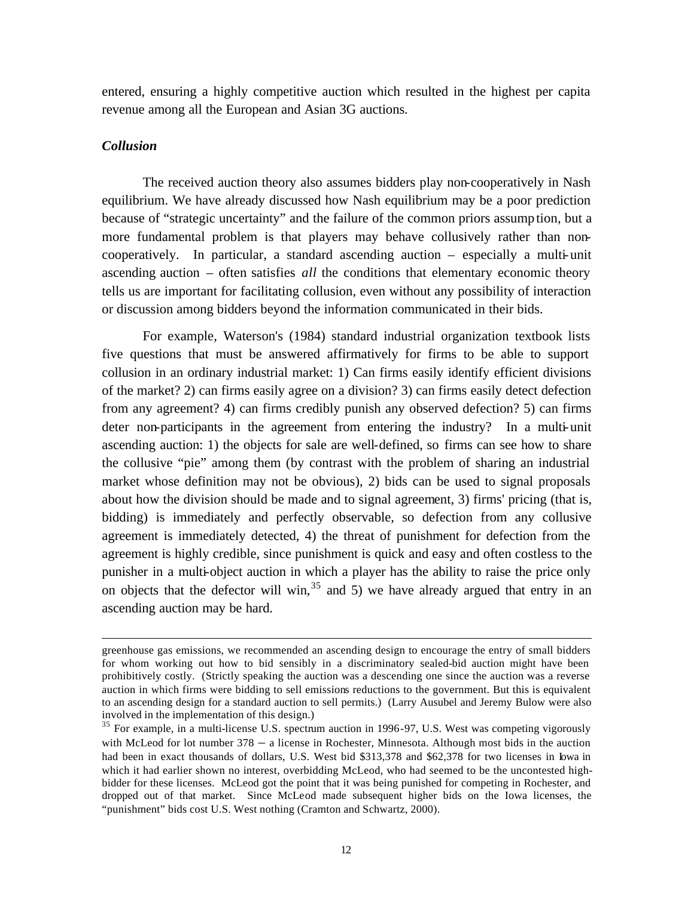entered, ensuring a highly competitive auction which resulted in the highest per capita revenue among all the European and Asian 3G auctions.

#### *Collusion*

l

The received auction theory also assumes bidders play non-cooperatively in Nash equilibrium. We have already discussed how Nash equilibrium may be a poor prediction because of "strategic uncertainty" and the failure of the common priors assumption, but a more fundamental problem is that players may behave collusively rather than noncooperatively. In particular, a standard ascending auction – especially a multi-unit ascending auction – often satisfies *all* the conditions that elementary economic theory tells us are important for facilitating collusion, even without any possibility of interaction or discussion among bidders beyond the information communicated in their bids.

For example, Waterson's (1984) standard industrial organization textbook lists five questions that must be answered affirmatively for firms to be able to support collusion in an ordinary industrial market: 1) Can firms easily identify efficient divisions of the market? 2) can firms easily agree on a division? 3) can firms easily detect defection from any agreement? 4) can firms credibly punish any observed defection? 5) can firms deter non-participants in the agreement from entering the industry? In a multi-unit ascending auction: 1) the objects for sale are well-defined, so firms can see how to share the collusive "pie" among them (by contrast with the problem of sharing an industrial market whose definition may not be obvious), 2) bids can be used to signal proposals about how the division should be made and to signal agreement, 3) firms' pricing (that is, bidding) is immediately and perfectly observable, so defection from any collusive agreement is immediately detected, 4) the threat of punishment for defection from the agreement is highly credible, since punishment is quick and easy and often costless to the punisher in a multi-object auction in which a player has the ability to raise the price only on objects that the defector will win,  $35$  and 5) we have already argued that entry in an ascending auction may be hard.

greenhouse gas emissions, we recommended an ascending design to encourage the entry of small bidders for whom working out how to bid sensibly in a discriminatory sealed-bid auction might have been prohibitively costly. (Strictly speaking the auction was a descending one since the auction was a reverse auction in which firms were bidding to sell emissions reductions to the government. But this is equivalent to an ascending design for a standard auction to sell permits.) (Larry Ausubel and Jeremy Bulow were also involved in the implementation of this design.)

 $35$  For example, in a multi-license U.S. spectrum auction in 1996-97, U.S. West was competing vigorously with McLeod for lot number 378 – a license in Rochester, Minnesota. Although most bids in the auction had been in exact thousands of dollars, U.S. West bid \$313,378 and \$62,378 for two licenses in Iowa in which it had earlier shown no interest, overbidding McLeod, who had seemed to be the uncontested highbidder for these licenses. McLeod got the point that it was being punished for competing in Rochester, and dropped out of that market. Since McLeod made subsequent higher bids on the Iowa licenses, the "punishment" bids cost U.S. West nothing (Cramton and Schwartz, 2000).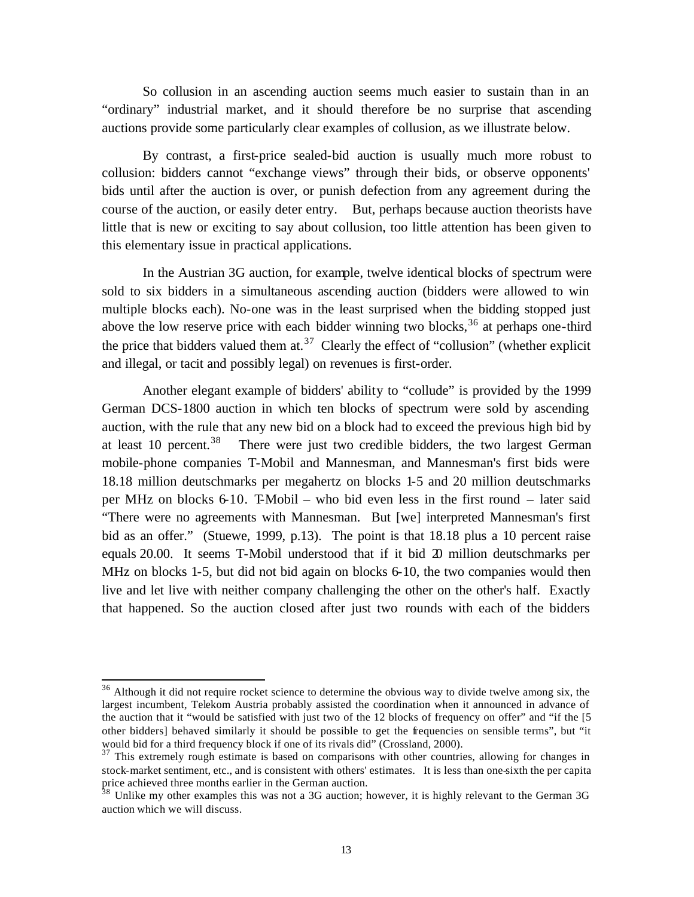So collusion in an ascending auction seems much easier to sustain than in an "ordinary" industrial market, and it should therefore be no surprise that ascending auctions provide some particularly clear examples of collusion, as we illustrate below.

By contrast, a first-price sealed-bid auction is usually much more robust to collusion: bidders cannot "exchange views" through their bids, or observe opponents' bids until after the auction is over, or punish defection from any agreement during the course of the auction, or easily deter entry. But, perhaps because auction theorists have little that is new or exciting to say about collusion, too little attention has been given to this elementary issue in practical applications.

In the Austrian 3G auction, for example, twelve identical blocks of spectrum were sold to six bidders in a simultaneous ascending auction (bidders were allowed to win multiple blocks each). No-one was in the least surprised when the bidding stopped just above the low reserve price with each bidder winning two blocks,  $36$  at perhaps one-third the price that bidders valued them at.<sup>37</sup> Clearly the effect of "collusion" (whether explicit and illegal, or tacit and possibly legal) on revenues is first-order.

Another elegant example of bidders' ability to "collude" is provided by the 1999 German DCS-1800 auction in which ten blocks of spectrum were sold by ascending auction, with the rule that any new bid on a block had to exceed the previous high bid by at least 10 percent.<sup>38</sup> There were just two credible bidders, the two largest German mobile-phone companies T-Mobil and Mannesman, and Mannesman's first bids were 18.18 million deutschmarks per megahertz on blocks 1-5 and 20 million deutschmarks per MHz on blocks 6-10. T-Mobil – who bid even less in the first round – later said "There were no agreements with Mannesman. But [we] interpreted Mannesman's first bid as an offer." (Stuewe, 1999, p.13). The point is that 18.18 plus a 10 percent raise equals 20.00. It seems T-Mobil understood that if it bid 20 million deutschmarks per MHz on blocks 1-5, but did not bid again on blocks 6-10, the two companies would then live and let live with neither company challenging the other on the other's half. Exactly that happened. So the auction closed after just two rounds with each of the bidders

<sup>&</sup>lt;sup>36</sup> Although it did not require rocket science to determine the obvious way to divide twelve among six, the largest incumbent, Telekom Austria probably assisted the coordination when it announced in advance of the auction that it "would be satisfied with just two of the 12 blocks of frequency on offer" and "if the [5 other bidders] behaved similarly it should be possible to get the frequencies on sensible terms", but "it would bid for a third frequency block if one of its rivals did" (Crossland, 2000).

<sup>&</sup>lt;sup>37</sup> This extremely rough estimate is based on comparisons with other countries, allowing for changes in stock-market sentiment, etc., and is consistent with others' estimates. It is less than one-sixth the per capita price achieved three months earlier in the German auction.

 $38$  Unlike my other examples this was not a 3G auction; however, it is highly relevant to the German 3G auction which we will discuss.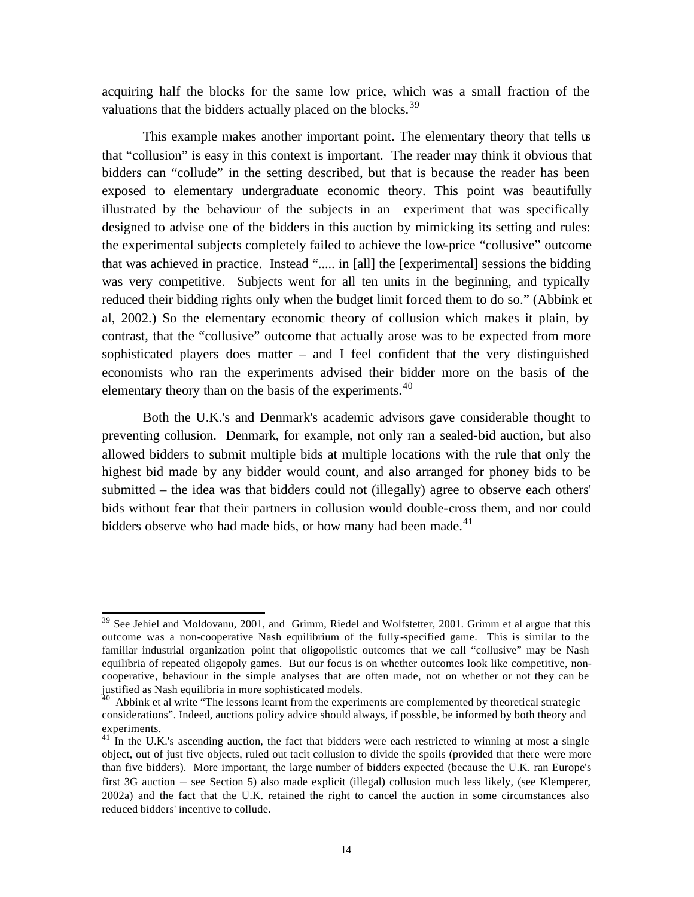acquiring half the blocks for the same low price, which was a small fraction of the valuations that the bidders actually placed on the blocks.<sup>39</sup>

This example makes another important point. The elementary theory that tells us that "collusion" is easy in this context is important. The reader may think it obvious that bidders can "collude" in the setting described, but that is because the reader has been exposed to elementary undergraduate economic theory. This point was beautifully illustrated by the behaviour of the subjects in an experiment that was specifically designed to advise one of the bidders in this auction by mimicking its setting and rules: the experimental subjects completely failed to achieve the low-price "collusive" outcome that was achieved in practice. Instead "..... in [all] the [experimental] sessions the bidding was very competitive. Subjects went for all ten units in the beginning, and typically reduced their bidding rights only when the budget limit forced them to do so." (Abbink et al, 2002.) So the elementary economic theory of collusion which makes it plain, by contrast, that the "collusive" outcome that actually arose was to be expected from more sophisticated players does matter – and I feel confident that the very distinguished economists who ran the experiments advised their bidder more on the basis of the elementary theory than on the basis of the experiments.  $40$ 

Both the U.K.'s and Denmark's academic advisors gave considerable thought to preventing collusion. Denmark, for example, not only ran a sealed-bid auction, but also allowed bidders to submit multiple bids at multiple locations with the rule that only the highest bid made by any bidder would count, and also arranged for phoney bids to be submitted – the idea was that bidders could not (illegally) agree to observe each others' bids without fear that their partners in collusion would double-cross them, and nor could bidders observe who had made bids, or how many had been made.<sup>41</sup>

 $39$  See Jehiel and Moldovanu, 2001, and Grimm, Riedel and Wolfstetter, 2001. Grimm et al argue that this outcome was a non-cooperative Nash equilibrium of the fully-specified game. This is similar to the familiar industrial organization point that oligopolistic outcomes that we call "collusive" may be Nash equilibria of repeated oligopoly games. But our focus is on whether outcomes look like competitive, noncooperative, behaviour in the simple analyses that are often made, not on whether or not they can be justified as Nash equilibria in more sophisticated models.

 $40$  Abbink et al write "The lessons learnt from the experiments are complemented by theoretical strategic considerations". Indeed, auctions policy advice should always, if possible, be informed by both theory and experiments.

 $41$  In the U.K.'s ascending auction, the fact that bidders were each restricted to winning at most a single object, out of just five objects, ruled out tacit collusion to divide the spoils (provided that there were more than five bidders). More important, the large number of bidders expected (because the U.K. ran Europe's first 3G auction – see Section 5) also made explicit (illegal) collusion much less likely, (see Klemperer, 2002a) and the fact that the U.K. retained the right to cancel the auction in some circumstances also reduced bidders' incentive to collude.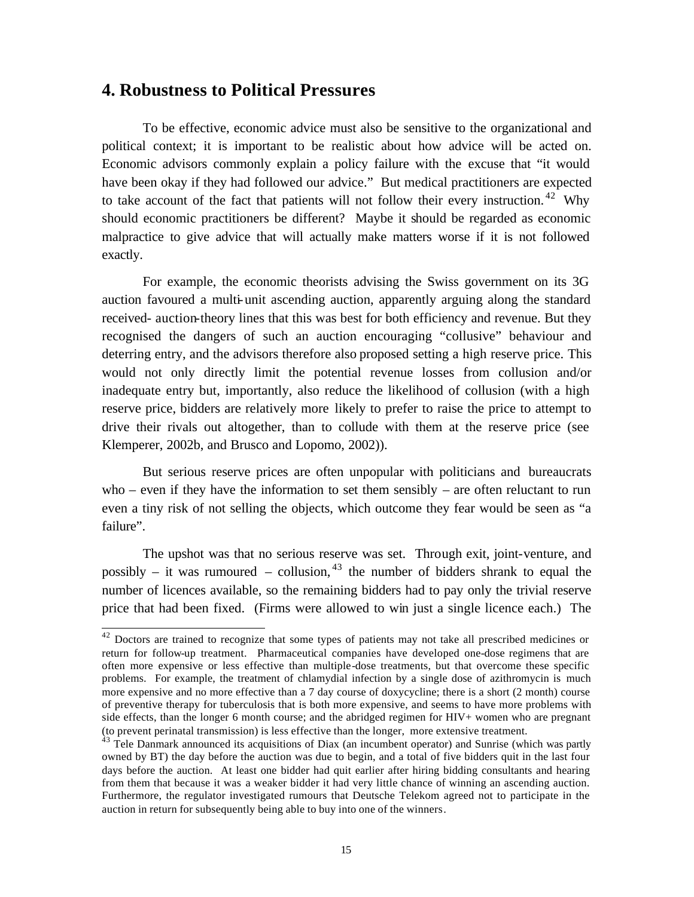#### **4. Robustness to Political Pressures**

l

To be effective, economic advice must also be sensitive to the organizational and political context; it is important to be realistic about how advice will be acted on. Economic advisors commonly explain a policy failure with the excuse that "it would have been okay if they had followed our advice." But medical practitioners are expected to take account of the fact that patients will not follow their every instruction.  $42$  Why should economic practitioners be different? Maybe it should be regarded as economic malpractice to give advice that will actually make matters worse if it is not followed exactly.

For example, the economic theorists advising the Swiss government on its 3G auction favoured a multi-unit ascending auction, apparently arguing along the standard received- auction-theory lines that this was best for both efficiency and revenue. But they recognised the dangers of such an auction encouraging "collusive" behaviour and deterring entry, and the advisors therefore also proposed setting a high reserve price. This would not only directly limit the potential revenue losses from collusion and/or inadequate entry but, importantly, also reduce the likelihood of collusion (with a high reserve price, bidders are relatively more likely to prefer to raise the price to attempt to drive their rivals out altogether, than to collude with them at the reserve price (see Klemperer, 2002b, and Brusco and Lopomo, 2002)).

But serious reserve prices are often unpopular with politicians and bureaucrats who – even if they have the information to set them sensibly – are often reluctant to run even a tiny risk of not selling the objects, which outcome they fear would be seen as "a failure".

The upshot was that no serious reserve was set. Through exit, joint-venture, and possibly – it was rumoured – collusion,  $43$  the number of bidders shrank to equal the number of licences available, so the remaining bidders had to pay only the trivial reserve price that had been fixed. (Firms were allowed to win just a single licence each.) The

 $42$  Doctors are trained to recognize that some types of patients may not take all prescribed medicines or return for follow-up treatment. Pharmaceutical companies have developed one-dose regimens that are often more expensive or less effective than multiple-dose treatments, but that overcome these specific problems. For example, the treatment of chlamydial infection by a single dose of azithromycin is much more expensive and no more effective than a 7 day course of doxycycline; there is a short (2 month) course of preventive therapy for tuberculosis that is both more expensive, and seems to have more problems with side effects, than the longer 6 month course; and the abridged regimen for HIV+ women who are pregnant (to prevent perinatal transmission) is less effective than the longer, more extensive treatment.

 $43$  Tele Danmark announced its acquisitions of Diax (an incumbent operator) and Sunrise (which was partly owned by BT) the day before the auction was due to begin, and a total of five bidders quit in the last four days before the auction. At least one bidder had quit earlier after hiring bidding consultants and hearing from them that because it was a weaker bidder it had very little chance of winning an ascending auction. Furthermore, the regulator investigated rumours that Deutsche Telekom agreed not to participate in the auction in return for subsequently being able to buy into one of the winners.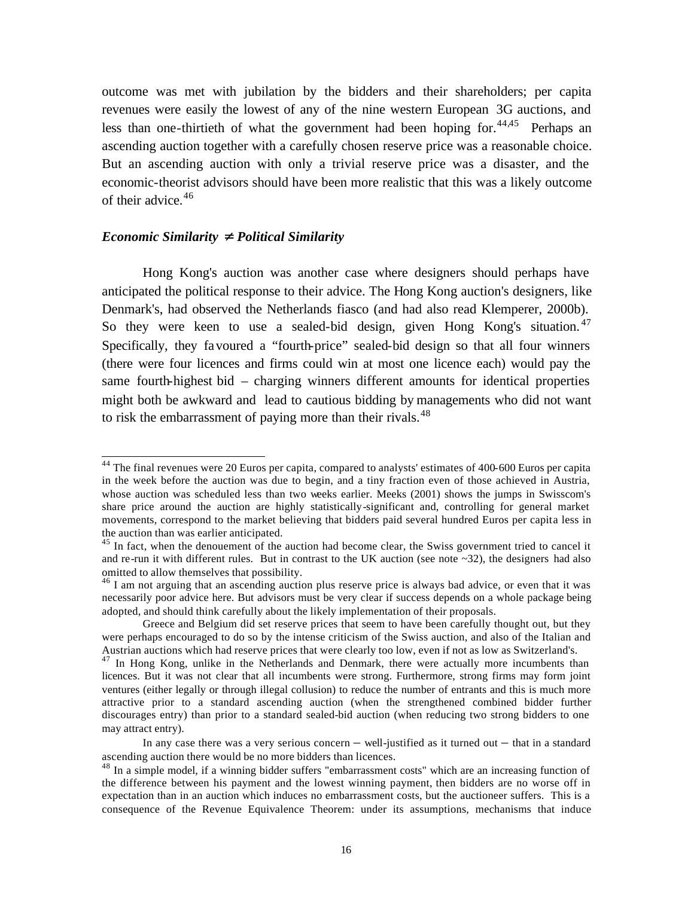outcome was met with jubilation by the bidders and their shareholders; per capita revenues were easily the lowest of any of the nine western European 3G auctions, and less than one-thirtieth of what the government had been hoping for. $44,45$  Perhaps an ascending auction together with a carefully chosen reserve price was a reasonable choice. But an ascending auction with only a trivial reserve price was a disaster, and the economic-theorist advisors should have been more realistic that this was a likely outcome of their advice.<sup>46</sup>

#### *Economic Similarity* ≠ *Political Similarity*

l

Hong Kong's auction was another case where designers should perhaps have anticipated the political response to their advice. The Hong Kong auction's designers, like Denmark's, had observed the Netherlands fiasco (and had also read Klemperer, 2000b). So they were keen to use a sealed-bid design, given Hong Kong's situation.  $47$ Specifically, they favoured a "fourth-price" sealed-bid design so that all four winners (there were four licences and firms could win at most one licence each) would pay the same fourth-highest bid – charging winners different amounts for identical properties might both be awkward and lead to cautious bidding by managements who did not want to risk the embarrassment of paying more than their rivals. $48$ 

 $44$  The final revenues were 20 Euros per capita, compared to analysts' estimates of 400-600 Euros per capita in the week before the auction was due to begin, and a tiny fraction even of those achieved in Austria, whose auction was scheduled less than two weeks earlier. Meeks (2001) shows the jumps in Swisscom's share price around the auction are highly statistically-significant and, controlling for general market movements, correspond to the market believing that bidders paid several hundred Euros per capita less in the auction than was earlier anticipated.

<sup>&</sup>lt;sup>45</sup> In fact, when the denouement of the auction had become clear, the Swiss government tried to cancel it and re-run it with different rules. But in contrast to the UK auction (see note  $\sim$ 32), the designers had also omitted to allow themselves that possibility.

<sup>&</sup>lt;sup>46</sup> I am not arguing that an ascending auction plus reserve price is always bad advice, or even that it was necessarily poor advice here. But advisors must be very clear if success depends on a whole package being adopted, and should think carefully about the likely implementation of their proposals.

Greece and Belgium did set reserve prices that seem to have been carefully thought out, but they were perhaps encouraged to do so by the intense criticism of the Swiss auction, and also of the Italian and Austrian auctions which had reserve prices that were clearly too low, even if not as low as Switzerland's.

<sup>&</sup>lt;sup>47</sup> In Hong Kong, unlike in the Netherlands and Denmark, there were actually more incumbents than licences. But it was not clear that all incumbents were strong. Furthermore, strong firms may form joint ventures (either legally or through illegal collusion) to reduce the number of entrants and this is much more attractive prior to a standard ascending auction (when the strengthened combined bidder further discourages entry) than prior to a standard sealed-bid auction (when reducing two strong bidders to one may attract entry).

In any case there was a very serious concern  $-$  well-justified as it turned out  $-$  that in a standard ascending auction there would be no more bidders than licences.

 $^{48}$  In a simple model, if a winning bidder suffers "embarrassment costs" which are an increasing function of the difference between his payment and the lowest winning payment, then bidders are no worse off in expectation than in an auction which induces no embarrassment costs, but the auctioneer suffers. This is a consequence of the Revenue Equivalence Theorem: under its assumptions, mechanisms that induce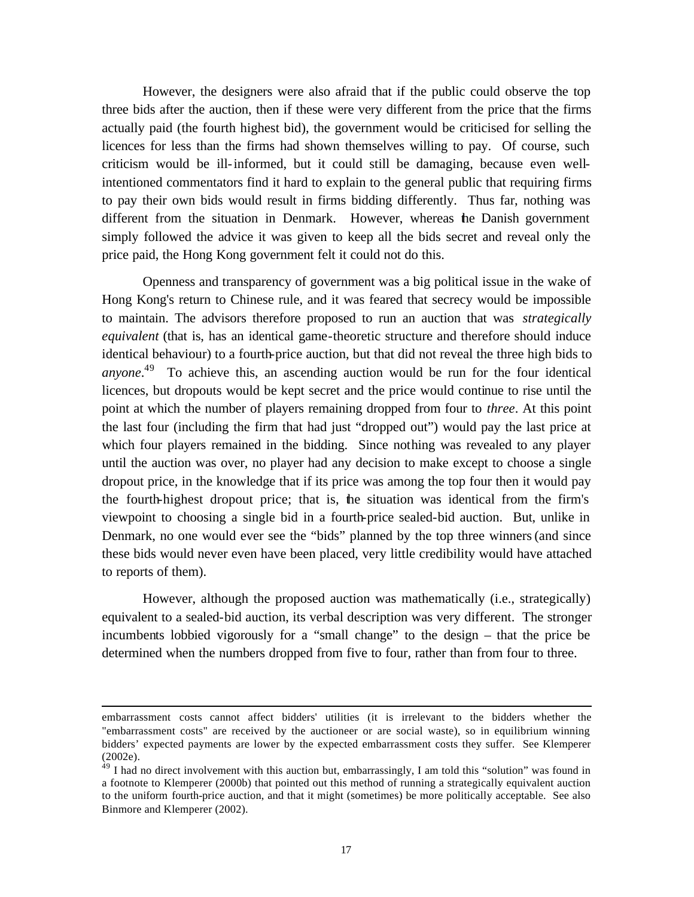However, the designers were also afraid that if the public could observe the top three bids after the auction, then if these were very different from the price that the firms actually paid (the fourth highest bid), the government would be criticised for selling the licences for less than the firms had shown themselves willing to pay. Of course, such criticism would be ill-informed, but it could still be damaging, because even wellintentioned commentators find it hard to explain to the general public that requiring firms to pay their own bids would result in firms bidding differently. Thus far, nothing was different from the situation in Denmark. However, whereas the Danish government simply followed the advice it was given to keep all the bids secret and reveal only the price paid, the Hong Kong government felt it could not do this.

Openness and transparency of government was a big political issue in the wake of Hong Kong's return to Chinese rule, and it was feared that secrecy would be impossible to maintain. The advisors therefore proposed to run an auction that was *strategically equivalent* (that is, has an identical game-theoretic structure and therefore should induce identical behaviour) to a fourth-price auction, but that did not reveal the three high bids to *anyone*. <sup>49</sup> To achieve this, an ascending auction would be run for the four identical licences, but dropouts would be kept secret and the price would continue to rise until the point at which the number of players remaining dropped from four to *three*. At this point the last four (including the firm that had just "dropped out") would pay the last price at which four players remained in the bidding. Since nothing was revealed to any player until the auction was over, no player had any decision to make except to choose a single dropout price, in the knowledge that if its price was among the top four then it would pay the fourth-highest dropout price; that is, the situation was identical from the firm's viewpoint to choosing a single bid in a fourth-price sealed-bid auction. But, unlike in Denmark, no one would ever see the "bids" planned by the top three winners(and since these bids would never even have been placed, very little credibility would have attached to reports of them).

However, although the proposed auction was mathematically (i.e., strategically) equivalent to a sealed-bid auction, its verbal description was very different. The stronger incumbents lobbied vigorously for a "small change" to the design – that the price be determined when the numbers dropped from five to four, rather than from four to three.

embarrassment costs cannot affect bidders' utilities (it is irrelevant to the bidders whether the "embarrassment costs" are received by the auctioneer or are social waste), so in equilibrium winning bidders' expected payments are lower by the expected embarrassment costs they suffer. See Klemperer (2002e).

 $49$  I had no direct involvement with this auction but, embarrassingly, I am told this "solution" was found in a footnote to Klemperer (2000b) that pointed out this method of running a strategically equivalent auction to the uniform fourth-price auction, and that it might (sometimes) be more politically acceptable. See also Binmore and Klemperer (2002).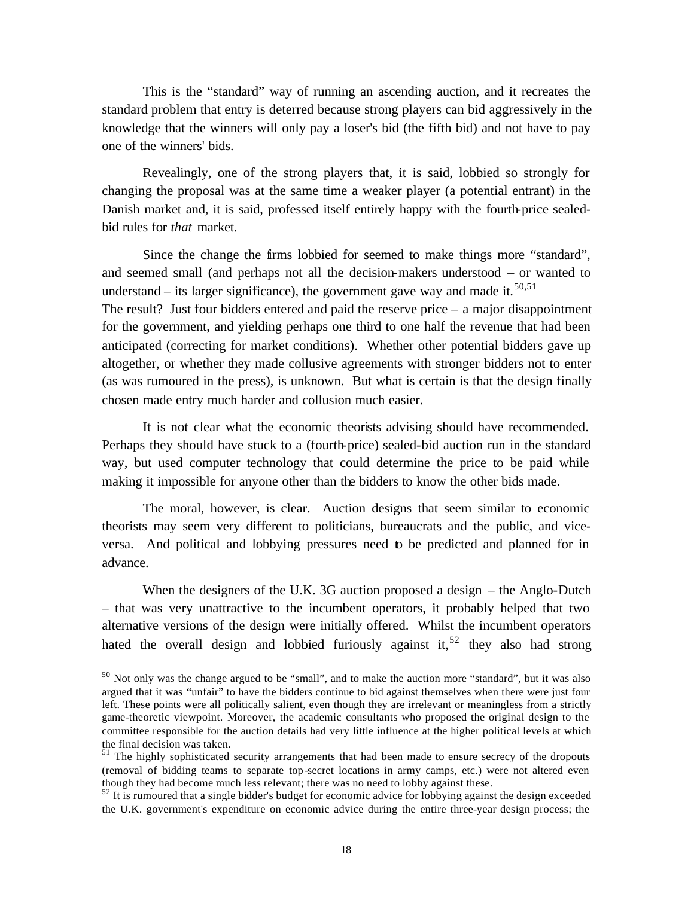This is the "standard" way of running an ascending auction, and it recreates the standard problem that entry is deterred because strong players can bid aggressively in the knowledge that the winners will only pay a loser's bid (the fifth bid) and not have to pay one of the winners' bids.

Revealingly, one of the strong players that, it is said, lobbied so strongly for changing the proposal was at the same time a weaker player (a potential entrant) in the Danish market and, it is said, professed itself entirely happy with the fourth-price sealedbid rules for *that* market.

Since the change the firms lobbied for seemed to make things more "standard", and seemed small (and perhaps not all the decision-makers understood – or wanted to understand – its larger significance), the government gave way and made it.<sup>50,51</sup> The result? Just four bidders entered and paid the reserve price – a major disappointment for the government, and yielding perhaps one third to one half the revenue that had been anticipated (correcting for market conditions). Whether other potential bidders gave up altogether, or whether they made collusive agreements with stronger bidders not to enter (as was rumoured in the press), is unknown. But what is certain is that the design finally chosen made entry much harder and collusion much easier.

It is not clear what the economic theorists advising should have recommended. Perhaps they should have stuck to a (fourth-price) sealed-bid auction run in the standard way, but used computer technology that could determine the price to be paid while making it impossible for anyone other than the bidders to know the other bids made.

The moral, however, is clear. Auction designs that seem similar to economic theorists may seem very different to politicians, bureaucrats and the public, and viceversa. And political and lobbying pressures need to be predicted and planned for in advance.

When the designers of the U.K. 3G auction proposed a design – the Anglo-Dutch – that was very unattractive to the incumbent operators, it probably helped that two alternative versions of the design were initially offered. Whilst the incumbent operators hated the overall design and lobbied furiously against it,  $52$  they also had strong

 $50$  Not only was the change argued to be "small", and to make the auction more "standard", but it was also argued that it was "unfair" to have the bidders continue to bid against themselves when there were just four left. These points were all politically salient, even though they are irrelevant or meaningless from a strictly game-theoretic viewpoint. Moreover, the academic consultants who proposed the original design to the committee responsible for the auction details had very little influence at the higher political levels at which the final decision was taken.

<sup>&</sup>lt;sup>51</sup> The highly sophisticated security arrangements that had been made to ensure secrecy of the dropouts (removal of bidding teams to separate top-secret locations in army camps, etc.) were not altered even though they had become much less relevant; there was no need to lobby against these.

<sup>&</sup>lt;sup>52</sup> It is rumoured that a single bidder's budget for economic advice for lobbying against the design exceeded the U.K. government's expenditure on economic advice during the entire three-year design process; the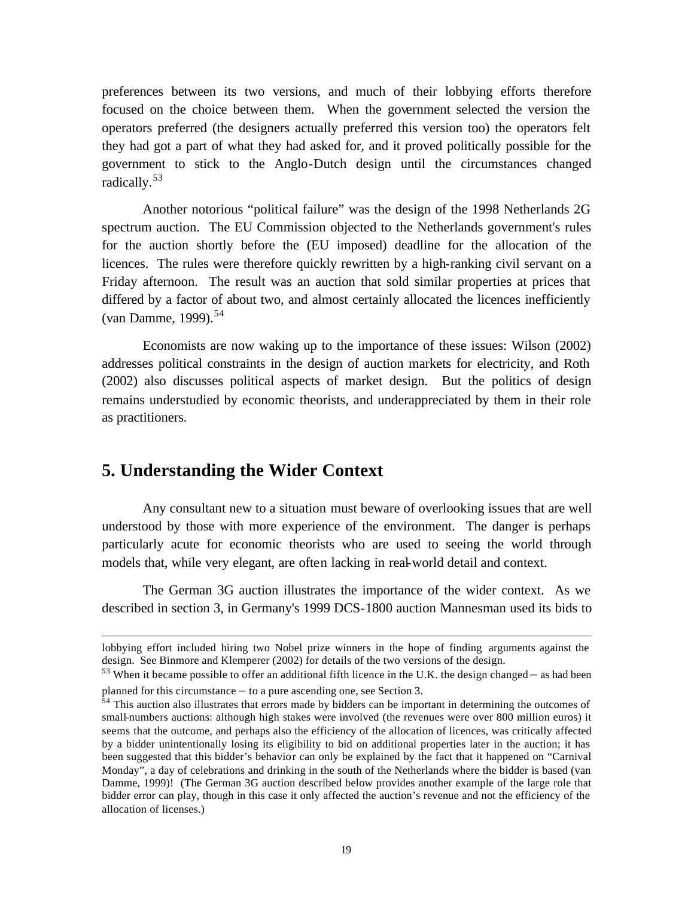preferences between its two versions, and much of their lobbying efforts therefore focused on the choice between them. When the government selected the version the operators preferred (the designers actually preferred this version too) the operators felt they had got a part of what they had asked for, and it proved politically possible for the government to stick to the Anglo-Dutch design until the circumstances changed radically.<sup>53</sup>

Another notorious "political failure" was the design of the 1998 Netherlands 2G spectrum auction. The EU Commission objected to the Netherlands government's rules for the auction shortly before the (EU imposed) deadline for the allocation of the licences. The rules were therefore quickly rewritten by a high-ranking civil servant on a Friday afternoon. The result was an auction that sold similar properties at prices that differed by a factor of about two, and almost certainly allocated the licences inefficiently (van Damme, 1999).<sup>54</sup>

Economists are now waking up to the importance of these issues: Wilson (2002) addresses political constraints in the design of auction markets for electricity, and Roth (2002) also discusses political aspects of market design. But the politics of design remains understudied by economic theorists, and underappreciated by them in their role as practitioners.

## **5. Understanding the Wider Context**

l

Any consultant new to a situation must beware of overlooking issues that are well understood by those with more experience of the environment. The danger is perhaps particularly acute for economic theorists who are used to seeing the world through models that, while very elegant, are often lacking in real-world detail and context.

The German 3G auction illustrates the importance of the wider context. As we described in section 3, in Germany's 1999 DCS-1800 auction Mannesman used its bids to

lobbying effort included hiring two Nobel prize winners in the hope of finding arguments against the design. See Binmore and Klemperer (2002) for details of the two versions of the design.

 $53$  When it became possible to offer an additional fifth licence in the U.K. the design changed – as had been planned for this circumstance – to a pure ascending one, see Section 3.

 $54$  This auction also illustrates that errors made by bidders can be important in determining the outcomes of small-numbers auctions: although high stakes were involved (the revenues were over 800 million euros) it seems that the outcome, and perhaps also the efficiency of the allocation of licences, was critically affected by a bidder unintentionally losing its eligibility to bid on additional properties later in the auction; it has been suggested that this bidder's behavior can only be explained by the fact that it happened on "Carnival Monday", a day of celebrations and drinking in the south of the Netherlands where the bidder is based (van Damme, 1999)! (The German 3G auction described below provides another example of the large role that bidder error can play, though in this case it only affected the auction's revenue and not the efficiency of the allocation of licenses.)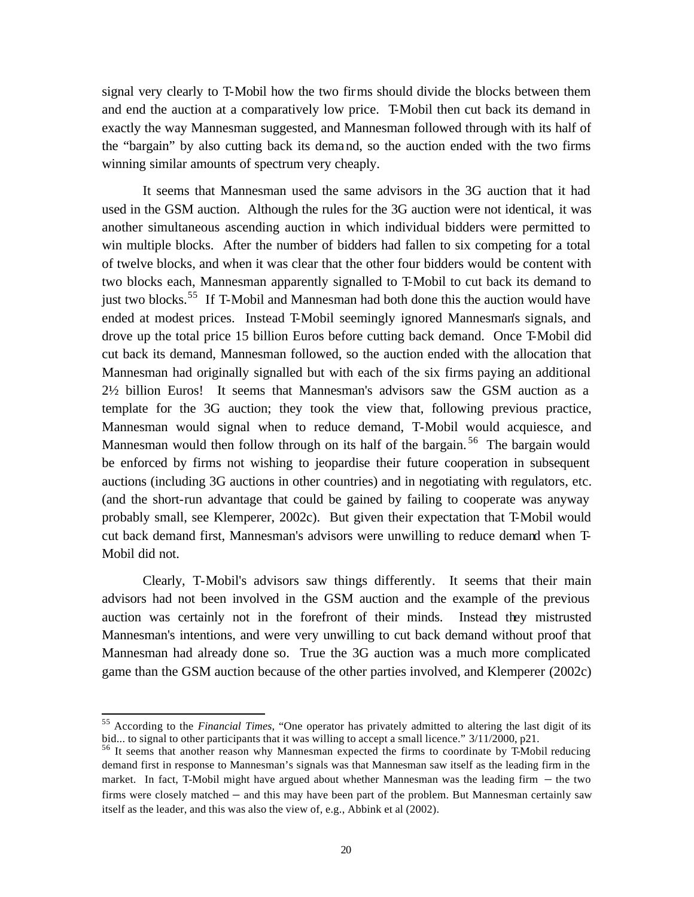signal very clearly to T-Mobil how the two firms should divide the blocks between them and end the auction at a comparatively low price. T-Mobil then cut back its demand in exactly the way Mannesman suggested, and Mannesman followed through with its half of the "bargain" by also cutting back its demand, so the auction ended with the two firms winning similar amounts of spectrum very cheaply.

It seems that Mannesman used the same advisors in the 3G auction that it had used in the GSM auction. Although the rules for the 3G auction were not identical, it was another simultaneous ascending auction in which individual bidders were permitted to win multiple blocks. After the number of bidders had fallen to six competing for a total of twelve blocks, and when it was clear that the other four bidders would be content with two blocks each, Mannesman apparently signalled to T-Mobil to cut back its demand to just two blocks.<sup>55</sup> If T-Mobil and Mannesman had both done this the auction would have ended at modest prices. Instead T-Mobil seemingly ignored Mannesman's signals, and drove up the total price 15 billion Euros before cutting back demand. Once T-Mobil did cut back its demand, Mannesman followed, so the auction ended with the allocation that Mannesman had originally signalled but with each of the six firms paying an additional 2½ billion Euros! It seems that Mannesman's advisors saw the GSM auction as a template for the 3G auction; they took the view that, following previous practice, Mannesman would signal when to reduce demand, T-Mobil would acquiesce, and Mannesman would then follow through on its half of the bargain.<sup>56</sup> The bargain would be enforced by firms not wishing to jeopardise their future cooperation in subsequent auctions (including 3G auctions in other countries) and in negotiating with regulators, etc. (and the short-run advantage that could be gained by failing to cooperate was anyway probably small, see Klemperer, 2002c). But given their expectation that T-Mobil would cut back demand first, Mannesman's advisors were unwilling to reduce demand when T-Mobil did not.

Clearly, T-Mobil's advisors saw things differently. It seems that their main advisors had not been involved in the GSM auction and the example of the previous auction was certainly not in the forefront of their minds. Instead they mistrusted Mannesman's intentions, and were very unwilling to cut back demand without proof that Mannesman had already done so. True the 3G auction was a much more complicated game than the GSM auction because of the other parties involved, and Klemperer (2002c)

<sup>55</sup> According to the *Financial Times*, "One operator has privately admitted to altering the last digit of its bid... to signal to other participants that it was willing to accept a small licence." 3/11/2000, p21.

<sup>&</sup>lt;sup>56</sup> It seems that another reason why Mannesman expected the firms to coordinate by T-Mobil reducing demand first in response to Mannesman's signals was that Mannesman saw itself as the leading firm in the market. In fact, T-Mobil might have argued about whether Mannesman was the leading firm – the two firms were closely matched – and this may have been part of the problem. But Mannesman certainly saw itself as the leader, and this was also the view of, e.g., Abbink et al (2002).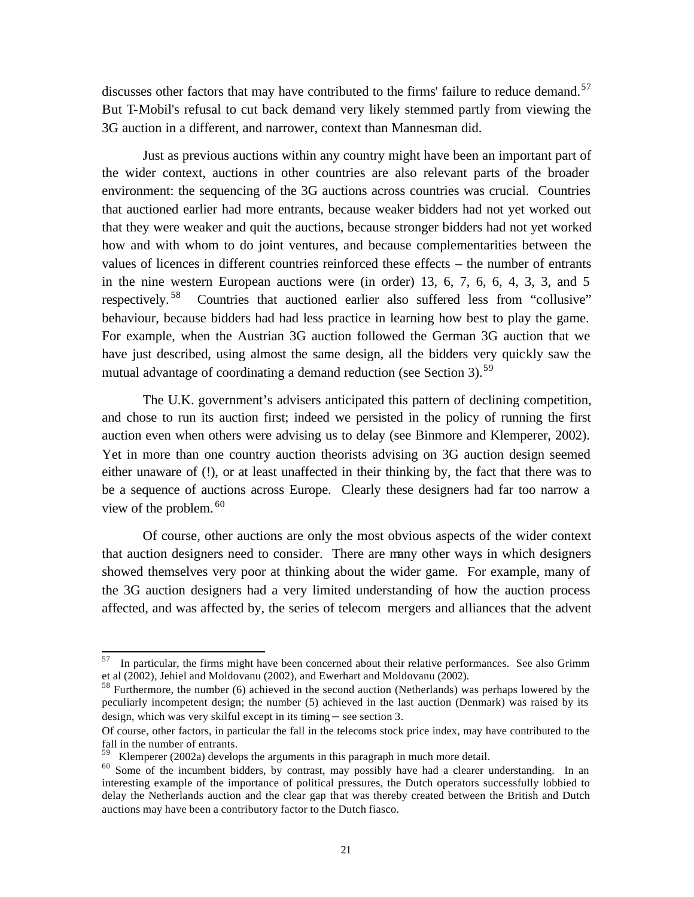discusses other factors that may have contributed to the firms' failure to reduce demand.<sup>57</sup> But T-Mobil's refusal to cut back demand very likely stemmed partly from viewing the 3G auction in a different, and narrower, context than Mannesman did.

Just as previous auctions within any country might have been an important part of the wider context, auctions in other countries are also relevant parts of the broader environment: the sequencing of the 3G auctions across countries was crucial. Countries that auctioned earlier had more entrants, because weaker bidders had not yet worked out that they were weaker and quit the auctions, because stronger bidders had not yet worked how and with whom to do joint ventures, and because complementarities between the values of licences in different countries reinforced these effects – the number of entrants in the nine western European auctions were (in order) 13, 6, 7, 6, 6, 4, 3, 3, and 5 respectively.<sup>58</sup> Countries that auctioned earlier also suffered less from "collusive" behaviour, because bidders had had less practice in learning how best to play the game. For example, when the Austrian 3G auction followed the German 3G auction that we have just described, using almost the same design, all the bidders very quickly saw the mutual advantage of coordinating a demand reduction (see Section 3).<sup>59</sup>

The U.K. government's advisers anticipated this pattern of declining competition, and chose to run its auction first; indeed we persisted in the policy of running the first auction even when others were advising us to delay (see Binmore and Klemperer, 2002). Yet in more than one country auction theorists advising on 3G auction design seemed either unaware of (!), or at least unaffected in their thinking by, the fact that there was to be a sequence of auctions across Europe. Clearly these designers had far too narrow a view of the problem.  $60$ 

Of course, other auctions are only the most obvious aspects of the wider context that auction designers need to consider. There are many other ways in which designers showed themselves very poor at thinking about the wider game. For example, many of the 3G auction designers had a very limited understanding of how the auction process affected, and was affected by, the series of telecom mergers and alliances that the advent

<sup>57</sup> In particular, the firms might have been concerned about their relative performances. See also Grimm et al (2002), Jehiel and Moldovanu (2002), and Ewerhart and Moldovanu (2002).

<sup>&</sup>lt;sup>58</sup> Furthermore, the number (6) achieved in the second auction (Netherlands) was perhaps lowered by the peculiarly incompetent design; the number (5) achieved in the last auction (Denmark) was raised by its design, which was very skilful except in its timing – see section 3.

Of course, other factors, in particular the fall in the telecoms stock price index, may have contributed to the fall in the number of entrants.

<sup>&</sup>lt;sup>59</sup> Klemperer (2002a) develops the arguments in this paragraph in much more detail.

<sup>&</sup>lt;sup>60</sup> Some of the incumbent bidders, by contrast, may possibly have had a clearer understanding. In an interesting example of the importance of political pressures, the Dutch operators successfully lobbied to delay the Netherlands auction and the clear gap that was thereby created between the British and Dutch auctions may have been a contributory factor to the Dutch fiasco.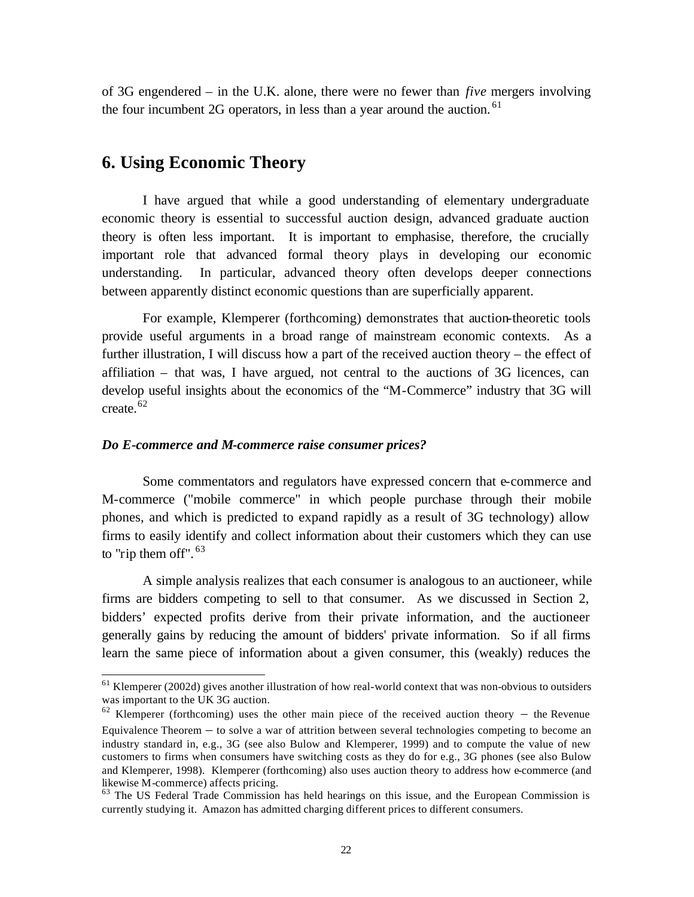of 3G engendered – in the U.K. alone, there were no fewer than *five* mergers involving the four incumbent 2G operators, in less than a year around the auction.  $61$ 

### **6. Using Economic Theory**

l

I have argued that while a good understanding of elementary undergraduate economic theory is essential to successful auction design, advanced graduate auction theory is often less important. It is important to emphasise, therefore, the crucially important role that advanced formal theory plays in developing our economic understanding. In particular, advanced theory often develops deeper connections between apparently distinct economic questions than are superficially apparent.

For example, Klemperer (forthcoming) demonstrates that auction-theoretic tools provide useful arguments in a broad range of mainstream economic contexts. As a further illustration, I will discuss how a part of the received auction theory – the effect of affiliation – that was, I have argued, not central to the auctions of 3G licences, can develop useful insights about the economics of the "M-Commerce" industry that 3G will create. $62$ 

#### *Do E-commerce and M-commerce raise consumer prices?*

Some commentators and regulators have expressed concern that e-commerce and M-commerce ("mobile commerce" in which people purchase through their mobile phones, and which is predicted to expand rapidly as a result of 3G technology) allow firms to easily identify and collect information about their customers which they can use to "rip them off". <sup>63</sup>

A simple analysis realizes that each consumer is analogous to an auctioneer, while firms are bidders competing to sell to that consumer. As we discussed in Section 2, bidders' expected profits derive from their private information, and the auctioneer generally gains by reducing the amount of bidders' private information. So if all firms learn the same piece of information about a given consumer, this (weakly) reduces the

 $61$  Klemperer (2002d) gives another illustration of how real-world context that was non-obvious to outsiders was important to the UK 3G auction.

 $62$  Klemperer (forthcoming) uses the other main piece of the received auction theory – the Revenue Equivalence Theorem – to solve a war of attrition between several technologies competing to become an industry standard in, e.g., 3G (see also Bulow and Klemperer, 1999) and to compute the value of new customers to firms when consumers have switching costs as they do for e.g., 3G phones (see also Bulow and Klemperer, 1998). Klemperer (forthcoming) also uses auction theory to address how e-commerce (and likewise M-commerce) affects pricing.

<sup>&</sup>lt;sup>63</sup> The US Federal Trade Commission has held hearings on this issue, and the European Commission is currently studying it. Amazon has admitted charging different prices to different consumers.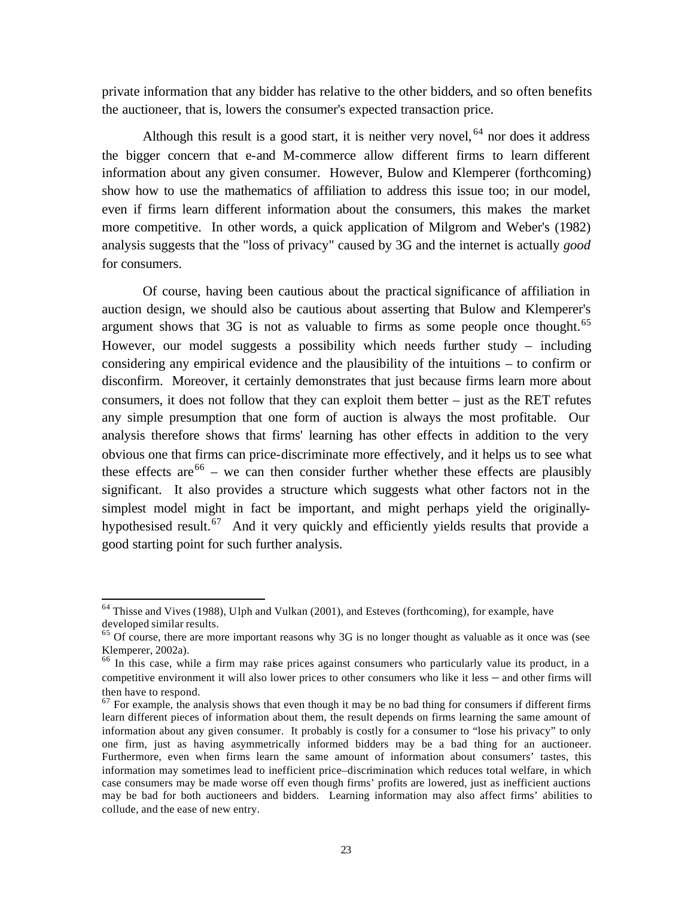private information that any bidder has relative to the other bidders, and so often benefits the auctioneer, that is, lowers the consumer's expected transaction price.

Although this result is a good start, it is neither very novel,  $64$  nor does it address the bigger concern that e-and M-commerce allow different firms to learn different information about any given consumer. However, Bulow and Klemperer (forthcoming) show how to use the mathematics of affiliation to address this issue too; in our model, even if firms learn different information about the consumers, this makes the market more competitive. In other words, a quick application of Milgrom and Weber's (1982) analysis suggests that the "loss of privacy" caused by 3G and the internet is actually *good* for consumers.

Of course, having been cautious about the practical significance of affiliation in auction design, we should also be cautious about asserting that Bulow and Klemperer's argument shows that  $3G$  is not as valuable to firms as some people once thought.<sup>65</sup> However, our model suggests a possibility which needs further study – including considering any empirical evidence and the plausibility of the intuitions – to confirm or disconfirm. Moreover, it certainly demonstrates that just because firms learn more about consumers, it does not follow that they can exploit them better – just as the RET refutes any simple presumption that one form of auction is always the most profitable. Our analysis therefore shows that firms' learning has other effects in addition to the very obvious one that firms can price-discriminate more effectively, and it helps us to see what these effects are  $66$  – we can then consider further whether these effects are plausibly significant. It also provides a structure which suggests what other factors not in the simplest model might in fact be important, and might perhaps yield the originallyhypothesised result.<sup>67</sup> And it very quickly and efficiently yields results that provide a good starting point for such further analysis.

<sup>&</sup>lt;sup>64</sup> Thisse and Vives (1988), Ulph and Vulkan (2001), and Esteves (forthcoming), for example, have developed similar results.

 $65$  Of course, there are more important reasons why 3G is no longer thought as valuable as it once was (see Klemperer, 2002a).

<sup>&</sup>lt;sup>66</sup> In this case, while a firm may raise prices against consumers who particularly value its product, in a competitive environment it will also lower prices to other consumers who like it less – and other firms will then have to respond.

 $67$  For example, the analysis shows that even though it may be no bad thing for consumers if different firms learn different pieces of information about them, the result depends on firms learning the same amount of information about any given consumer. It probably is costly for a consumer to "lose his privacy" to only one firm, just as having asymmetrically informed bidders may be a bad thing for an auctioneer. Furthermore, even when firms learn the same amount of information about consumers' tastes, this information may sometimes lead to inefficient price–discrimination which reduces total welfare, in which case consumers may be made worse off even though firms' profits are lowered, just as inefficient auctions may be bad for both auctioneers and bidders. Learning information may also affect firms' abilities to collude, and the ease of new entry.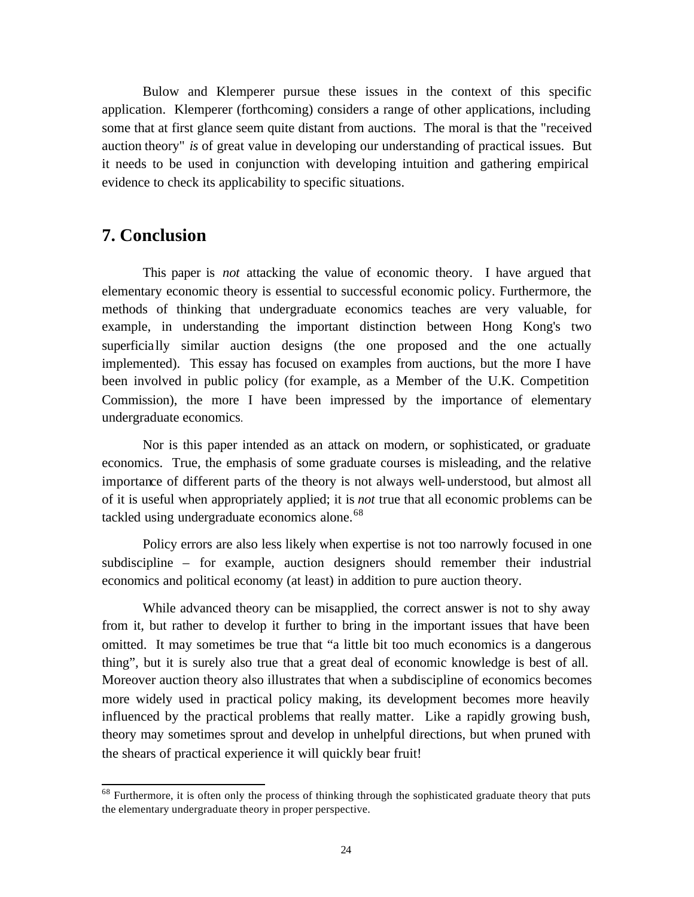Bulow and Klemperer pursue these issues in the context of this specific application. Klemperer (forthcoming) considers a range of other applications, including some that at first glance seem quite distant from auctions. The moral is that the "received auction theory" *is* of great value in developing our understanding of practical issues. But it needs to be used in conjunction with developing intuition and gathering empirical evidence to check its applicability to specific situations.

### **7. Conclusion**

l

This paper is *not* attacking the value of economic theory. I have argued that elementary economic theory is essential to successful economic policy. Furthermore, the methods of thinking that undergraduate economics teaches are very valuable, for example, in understanding the important distinction between Hong Kong's two superficia lly similar auction designs (the one proposed and the one actually implemented). This essay has focused on examples from auctions, but the more I have been involved in public policy (for example, as a Member of the U.K. Competition Commission), the more I have been impressed by the importance of elementary undergraduate economics.

Nor is this paper intended as an attack on modern, or sophisticated, or graduate economics. True, the emphasis of some graduate courses is misleading, and the relative importance of different parts of the theory is not always well-understood, but almost all of it is useful when appropriately applied; it is *not* true that all economic problems can be tackled using undergraduate economics alone.<sup>68</sup>

Policy errors are also less likely when expertise is not too narrowly focused in one subdiscipline – for example, auction designers should remember their industrial economics and political economy (at least) in addition to pure auction theory.

While advanced theory can be misapplied, the correct answer is not to shy away from it, but rather to develop it further to bring in the important issues that have been omitted. It may sometimes be true that "a little bit too much economics is a dangerous thing", but it is surely also true that a great deal of economic knowledge is best of all. Moreover auction theory also illustrates that when a subdiscipline of economics becomes more widely used in practical policy making, its development becomes more heavily influenced by the practical problems that really matter. Like a rapidly growing bush, theory may sometimes sprout and develop in unhelpful directions, but when pruned with the shears of practical experience it will quickly bear fruit!

 $68$  Furthermore, it is often only the process of thinking through the sophisticated graduate theory that puts the elementary undergraduate theory in proper perspective.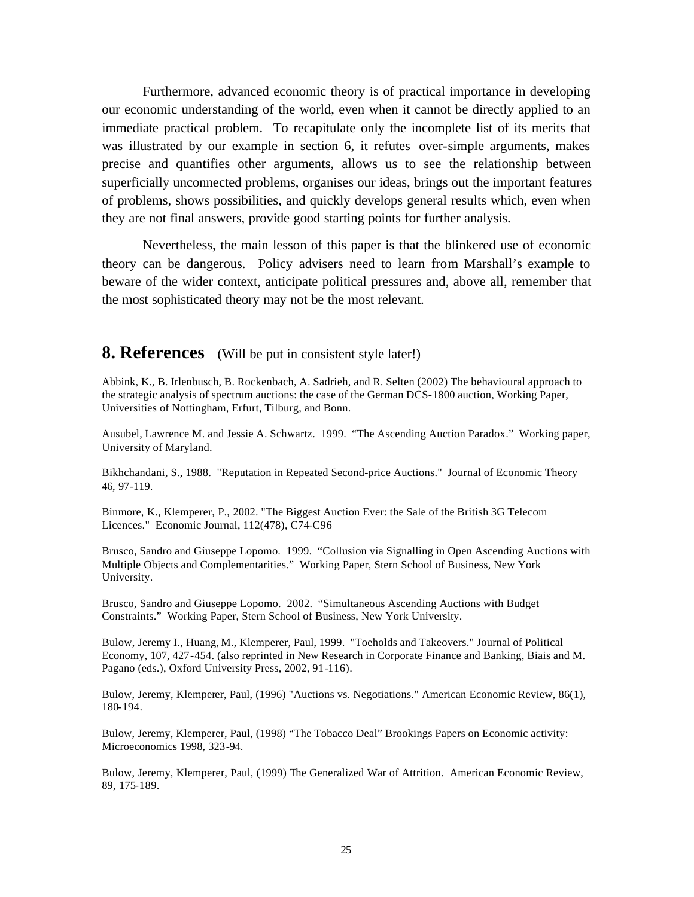Furthermore, advanced economic theory is of practical importance in developing our economic understanding of the world, even when it cannot be directly applied to an immediate practical problem. To recapitulate only the incomplete list of its merits that was illustrated by our example in section 6, it refutes over-simple arguments, makes precise and quantifies other arguments, allows us to see the relationship between superficially unconnected problems, organises our ideas, brings out the important features of problems, shows possibilities, and quickly develops general results which, even when they are not final answers, provide good starting points for further analysis.

Nevertheless, the main lesson of this paper is that the blinkered use of economic theory can be dangerous. Policy advisers need to learn from Marshall's example to beware of the wider context, anticipate political pressures and, above all, remember that the most sophisticated theory may not be the most relevant.

## **8. References** (Will be put in consistent style later!)

Abbink, K., B. Irlenbusch, B. Rockenbach, A. Sadrieh, and R. Selten (2002) The behavioural approach to the strategic analysis of spectrum auctions: the case of the German DCS-1800 auction, Working Paper, Universities of Nottingham, Erfurt, Tilburg, and Bonn.

Ausubel, Lawrence M. and Jessie A. Schwartz. 1999. "The Ascending Auction Paradox." Working paper, University of Maryland.

Bikhchandani, S., 1988. "Reputation in Repeated Second-price Auctions." Journal of Economic Theory 46, 97-119.

Binmore, K., Klemperer, P., 2002. "The Biggest Auction Ever: the Sale of the British 3G Telecom Licences." Economic Journal, 112(478), C74-C96

Brusco, Sandro and Giuseppe Lopomo. 1999. "Collusion via Signalling in Open Ascending Auctions with Multiple Objects and Complementarities." Working Paper, Stern School of Business, New York University.

Brusco, Sandro and Giuseppe Lopomo. 2002. "Simultaneous Ascending Auctions with Budget Constraints." Working Paper, Stern School of Business, New York University.

Bulow, Jeremy I., Huang, M., Klemperer, Paul, 1999. "Toeholds and Takeovers." Journal of Political Economy, 107, 427-454. (also reprinted in New Research in Corporate Finance and Banking, Biais and M. Pagano (eds.), Oxford University Press, 2002, 91-116).

Bulow, Jeremy, Klemperer, Paul, (1996) "Auctions vs. Negotiations." American Economic Review, 86(1), 180-194.

Bulow, Jeremy, Klemperer, Paul, (1998) "The Tobacco Deal" Brookings Papers on Economic activity: Microeconomics 1998, 323-94.

Bulow, Jeremy, Klemperer, Paul, (1999) The Generalized War of Attrition. American Economic Review, 89, 175-189.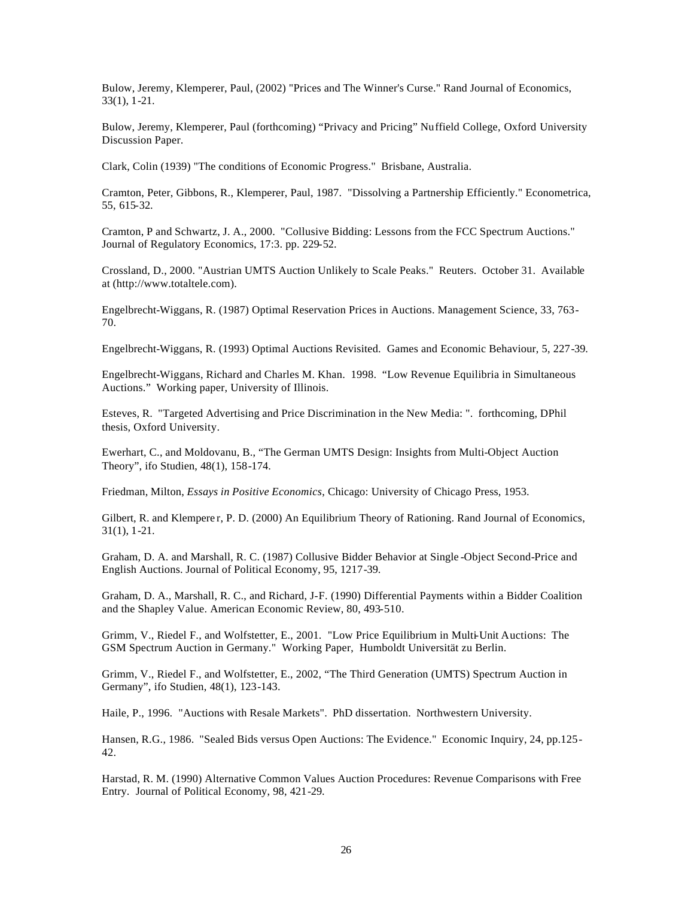Bulow, Jeremy, Klemperer, Paul, (2002) "Prices and The Winner's Curse." Rand Journal of Economics, 33(1), 1-21.

Bulow, Jeremy, Klemperer, Paul (forthcoming) "Privacy and Pricing" Nuffield College, Oxford University Discussion Paper.

Clark, Colin (1939) "The conditions of Economic Progress." Brisbane, Australia.

Cramton, Peter, Gibbons, R., Klemperer, Paul, 1987. "Dissolving a Partnership Efficiently." Econometrica, 55, 615-32.

Cramton, P and Schwartz, J. A., 2000. "Collusive Bidding: Lessons from the FCC Spectrum Auctions." Journal of Regulatory Economics, 17:3. pp. 229-52.

Crossland, D., 2000. "Austrian UMTS Auction Unlikely to Scale Peaks." Reuters. October 31. Available at (http://www.totaltele.com).

Engelbrecht-Wiggans, R. (1987) Optimal Reservation Prices in Auctions. Management Science, 33, 763- 70.

Engelbrecht-Wiggans, R. (1993) Optimal Auctions Revisited. Games and Economic Behaviour, 5, 227-39.

Engelbrecht-Wiggans, Richard and Charles M. Khan. 1998. "Low Revenue Equilibria in Simultaneous Auctions." Working paper, University of Illinois.

Esteves, R. "Targeted Advertising and Price Discrimination in the New Media: ". forthcoming, DPhil thesis, Oxford University.

Ewerhart, C., and Moldovanu, B., "The German UMTS Design: Insights from Multi-Object Auction Theory", ifo Studien, 48(1), 158-174.

Friedman, Milton, *Essays in Positive Economics*, Chicago: University of Chicago Press, 1953.

Gilbert, R. and Klempere r, P. D. (2000) An Equilibrium Theory of Rationing. Rand Journal of Economics, 31(1), 1-21.

Graham, D. A. and Marshall, R. C. (1987) Collusive Bidder Behavior at Single -Object Second-Price and English Auctions. Journal of Political Economy, 95, 1217-39.

Graham, D. A., Marshall, R. C., and Richard, J-F. (1990) Differential Payments within a Bidder Coalition and the Shapley Value. American Economic Review, 80, 493-510.

Grimm, V., Riedel F., and Wolfstetter, E., 2001. "Low Price Equilibrium in Multi-Unit Auctions: The GSM Spectrum Auction in Germany." Working Paper, Humboldt Universität zu Berlin.

Grimm, V., Riedel F., and Wolfstetter, E., 2002, "The Third Generation (UMTS) Spectrum Auction in Germany", ifo Studien, 48(1), 123-143.

Haile, P., 1996. "Auctions with Resale Markets". PhD dissertation. Northwestern University.

Hansen, R.G., 1986. "Sealed Bids versus Open Auctions: The Evidence." Economic Inquiry, 24, pp.125- 42.

Harstad, R. M. (1990) Alternative Common Values Auction Procedures: Revenue Comparisons with Free Entry. Journal of Political Economy, 98, 421-29.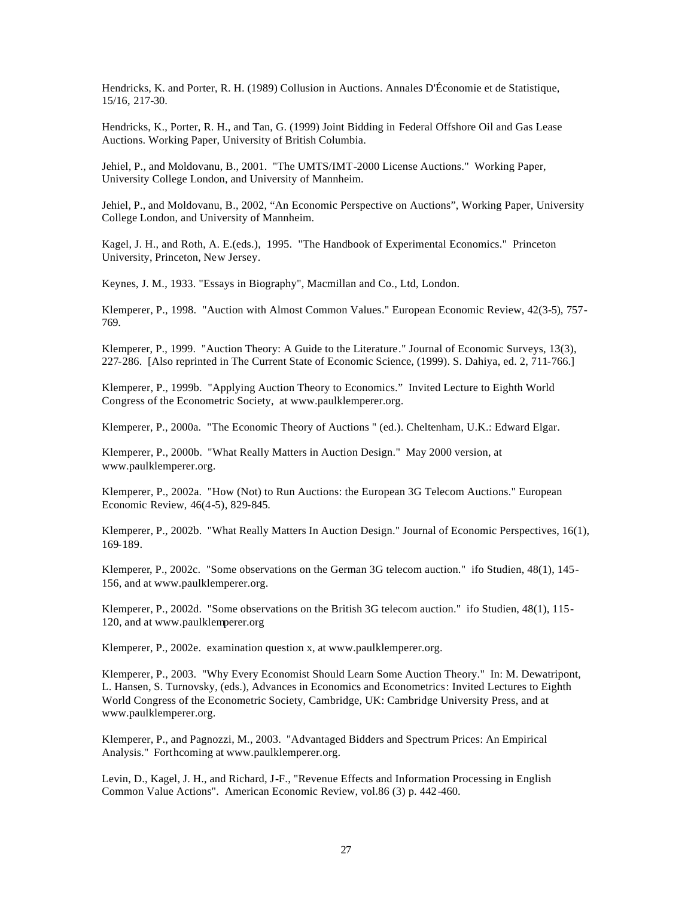Hendricks, K. and Porter, R. H. (1989) Collusion in Auctions. Annales D'Économie et de Statistique, 15/16, 217-30.

Hendricks, K., Porter, R. H., and Tan, G. (1999) Joint Bidding in Federal Offshore Oil and Gas Lease Auctions. Working Paper, University of British Columbia.

Jehiel, P., and Moldovanu, B., 2001. "The UMTS/IMT-2000 License Auctions." Working Paper, University College London, and University of Mannheim.

Jehiel, P., and Moldovanu, B., 2002, "An Economic Perspective on Auctions", Working Paper, University College London, and University of Mannheim.

Kagel, J. H., and Roth, A. E.(eds.), 1995. "The Handbook of Experimental Economics." Princeton University, Princeton, New Jersey.

Keynes, J. M., 1933. "Essays in Biography", Macmillan and Co., Ltd, London.

Klemperer, P., 1998. "Auction with Almost Common Values." European Economic Review, 42(3-5), 757- 769.

Klemperer, P., 1999. "Auction Theory: A Guide to the Literature." Journal of Economic Surveys, 13(3), 227-286. [Also reprinted in The Current State of Economic Science, (1999). S. Dahiya, ed. 2, 711-766.]

Klemperer, P., 1999b. "Applying Auction Theory to Economics." Invited Lecture to Eighth World Congress of the Econometric Society, at www.paulklemperer.org.

Klemperer, P., 2000a. "The Economic Theory of Auctions " (ed.). Cheltenham, U.K.: Edward Elgar.

Klemperer, P., 2000b. "What Really Matters in Auction Design." May 2000 version, at www.paulklemperer.org.

Klemperer, P., 2002a. "How (Not) to Run Auctions: the European 3G Telecom Auctions." European Economic Review, 46(4-5), 829-845.

Klemperer, P., 2002b. "What Really Matters In Auction Design." Journal of Economic Perspectives, 16(1), 169-189.

Klemperer, P., 2002c. "Some observations on the German 3G telecom auction." ifo Studien, 48(1), 145- 156, and at www.paulklemperer.org.

Klemperer, P., 2002d. "Some observations on the British 3G telecom auction." ifo Studien, 48(1), 115- 120, and at www.paulklemperer.org

Klemperer, P., 2002e. examination question x, at www.paulklemperer.org.

Klemperer, P., 2003. "Why Every Economist Should Learn Some Auction Theory." In: M. Dewatripont, L. Hansen, S. Turnovsky, (eds.), Advances in Economics and Econometrics: Invited Lectures to Eighth World Congress of the Econometric Society, Cambridge, UK: Cambridge University Press, and at www.paulklemperer.org.

Klemperer, P., and Pagnozzi, M., 2003. "Advantaged Bidders and Spectrum Prices: An Empirical Analysis." Forthcoming at www.paulklemperer.org.

Levin, D., Kagel, J. H., and Richard, J-F., "Revenue Effects and Information Processing in English Common Value Actions". American Economic Review, vol.86 (3) p. 442-460.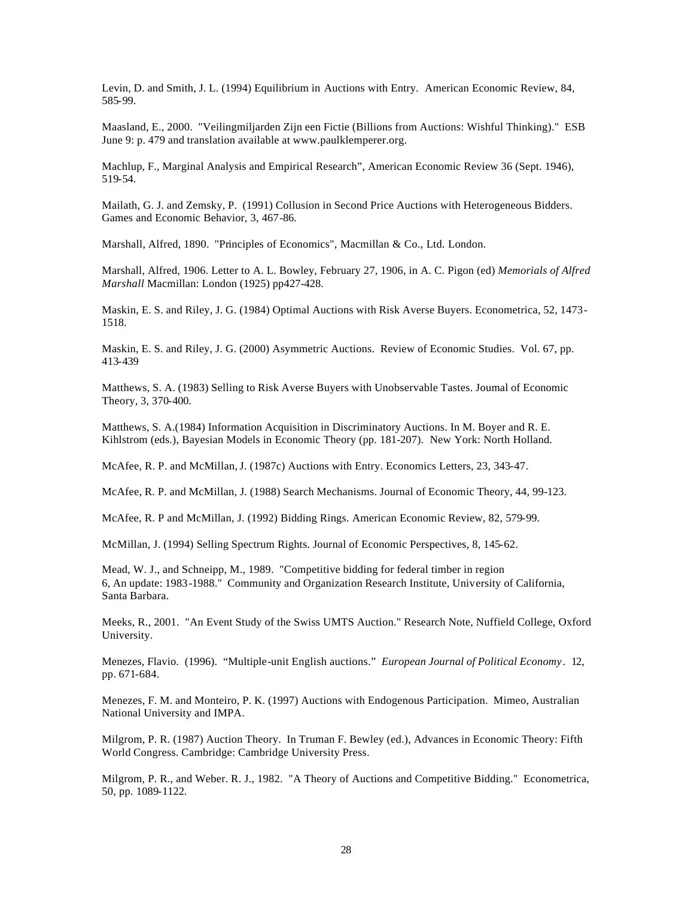Levin, D. and Smith, J. L. (1994) Equilibrium in Auctions with Entry. American Economic Review, 84, 585-99.

Maasland, E., 2000. "Veilingmiljarden Zijn een Fictie (Billions from Auctions: Wishful Thinking)." ESB June 9: p. 479 and translation available at www.paulklemperer.org.

Machlup, F., Marginal Analysis and Empirical Research", American Economic Review 36 (Sept. 1946), 519-54.

Mailath, G. J. and Zemsky, P. (1991) Collusion in Second Price Auctions with Heterogeneous Bidders. Games and Economic Behavior, 3, 467-86.

Marshall, Alfred, 1890. "Principles of Economics", Macmillan & Co., Ltd. London.

Marshall, Alfred, 1906. Letter to A. L. Bowley, February 27, 1906, in A. C. Pigon (ed) *Memorials of Alfred Marshall* Macmillan: London (1925) pp427-428.

Maskin, E. S. and Riley, J. G. (1984) Optimal Auctions with Risk Averse Buyers. Econometrica, 52, 1473- 1518.

Maskin, E. S. and Riley, J. G. (2000) Asymmetric Auctions. Review of Economic Studies. Vol. 67, pp. 413-439

Matthews, S. A. (1983) Selling to Risk Averse Buyers with Unobservable Tastes. Journal of Economic Theory, 3, 370-400.

Matthews, S. A.(1984) Information Acquisition in Discriminatory Auctions. In M. Boyer and R. E. Kihlstrom (eds.), Bayesian Models in Economic Theory (pp. 181-207). New York: North Holland.

McAfee, R. P. and McMillan, J. (1987c) Auctions with Entry. Economics Letters, 23, 343-47.

McAfee, R. P. and McMillan, J. (1988) Search Mechanisms. Journal of Economic Theory, 44, 99-123.

McAfee, R. P and McMillan, J. (1992) Bidding Rings. American Economic Review, 82, 579-99.

McMillan, J. (1994) Selling Spectrum Rights. Journal of Economic Perspectives, 8, 145-62.

Mead, W. J., and Schneipp, M., 1989. "Competitive bidding for federal timber in region 6, An update: 1983-1988." Community and Organization Research Institute, University of California, Santa Barbara.

Meeks, R., 2001. "An Event Study of the Swiss UMTS Auction." Research Note, Nuffield College, Oxford University.

Menezes, Flavio. (1996). "Multiple-unit English auctions." *European Journal of Political Economy*. 12, pp. 671-684.

Menezes, F. M. and Monteiro, P. K. (1997) Auctions with Endogenous Participation. Mimeo, Australian National University and IMPA.

Milgrom, P. R. (1987) Auction Theory. In Truman F. Bewley (ed.), Advances in Economic Theory: Fifth World Congress. Cambridge: Cambridge University Press.

Milgrom, P. R., and Weber. R. J., 1982. "A Theory of Auctions and Competitive Bidding." Econometrica, 50, pp. 1089-1122.